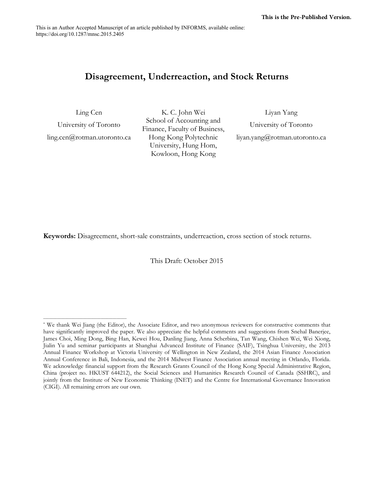This is an Author Accepted Manuscript of an article published by INFORMS, available online: https://doi.org/10.1287/mnsc.2015.2405

# **Disagreement, Underreaction, and Stock Returns**

Ling Cen

University of Toronto ling.cen@rotman.utoronto.ca

\_\_\_\_\_\_\_\_\_\_\_\_\_\_\_\_\_\_\_\_\_\_\_\_\_\_\_\_\_\_\_\_\_\_\_\_\_\_\_\_\_\_

K. C. John Wei School of Accounting and Finance, Faculty of Business, Hong Kong Polytechnic University, Hung Hom, Kowloon, Hong Kong

Liyan Yang University of Toronto liyan.yang@rotman.utoronto.ca

**Keywords:** Disagreement, short-sale constraints, underreaction, cross section of stock returns.

This Draft: October 2015

<sup>\*</sup> We thank Wei Jiang (the Editor), the Associate Editor, and two anonymous reviewers for constructive comments that have significantly improved the paper. We also appreciate the helpful comments and suggestions from Snehal Banerjee, James Choi, Ming Dong, Bing Han, Kewei Hou, Danling Jiang, Anna Scherbina, Tan Wang, Chishen Wei, Wei Xiong, Jialin Yu and seminar participants at Shanghai Advanced Institute of Finance (SAIF), Tsinghua University, the 2013 Annual Finance Workshop at Victoria University of Wellington in New Zealand, the 2014 Asian Finance Association Annual Conference in Bali, Indonesia, and the 2014 Midwest Finance Association annual meeting in Orlando, Florida. We acknowledge financial support from the Research Grants Council of the Hong Kong Special Administrative Region, China (project no. HKUST 644212), the Social Sciences and Humanities Research Council of Canada (SSHRC), and jointly from the Institute of New Economic Thinking (INET) and the Centre for International Governance Innovation (CIGI). All remaining errors are our own.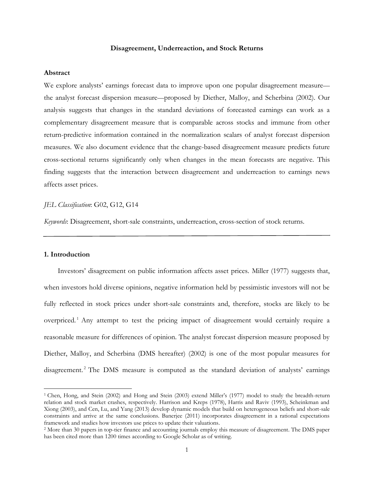#### **Disagreement, Underreaction, and Stock Returns**

#### **Abstract**

We explore analysts' earnings forecast data to improve upon one popular disagreement measure the analyst forecast dispersion measure—proposed by Diether, Malloy, and Scherbina (2002). Our analysis suggests that changes in the standard deviations of forecasted earnings can work as a complementary disagreement measure that is comparable across stocks and immune from other return-predictive information contained in the normalization scalars of analyst forecast dispersion measures. We also document evidence that the change-based disagreement measure predicts future cross-sectional returns significantly only when changes in the mean forecasts are negative. This finding suggests that the interaction between disagreement and underreaction to earnings news affects asset prices.

# *JEL Classification*: G02, G12, G14

*Keywords*: Disagreement, short-sale constraints, underreaction, cross-section of stock returns.

#### **1. Introduction**

 $\overline{\phantom{a}}$ 

Investors' disagreement on public information affects asset prices. Miller (1977) suggests that, when investors hold diverse opinions, negative information held by pessimistic investors will not be fully reflected in stock prices under short-sale constraints and, therefore, stocks are likely to be overpriced.<sup>1</sup> Any attempt to test the pricing impact of disagreement would certainly require a reasonable measure for differences of opinion. The analyst forecast dispersion measure proposed by Diether, Malloy, and Scherbina (DMS hereafter) (2002) is one of the most popular measures for disagreement.<sup>2</sup> The DMS measure is computed as the standard deviation of analysts' earnings

<sup>1</sup> Chen, Hong, and Stein (2002) and Hong and Stein (2003) extend Miller's (1977) model to study the breadth-return relation and stock market crashes, respectively. Harrison and Kreps (1978), Harris and Raviv (1993), Scheinkman and Xiong (2003), and Cen, Lu, and Yang (2013) develop dynamic models that build on heterogeneous beliefs and short-sale constraints and arrive at the same conclusions. Banerjee (2011) incorporates disagreement in a rational expectations framework and studies how investors use prices to update their valuations.

<sup>2</sup> More than 30 papers in top-tier finance and accounting journals employ this measure of disagreement. The DMS paper has been cited more than 1200 times according to Google Scholar as of writing.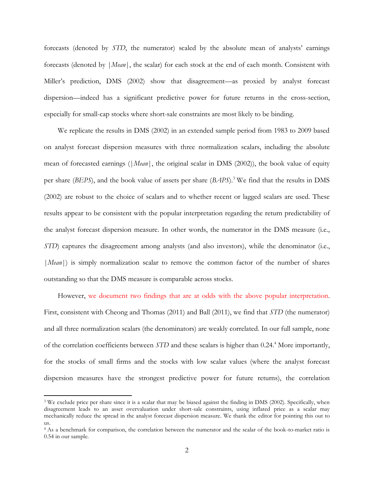forecasts (denoted by *STD*, the numerator) scaled by the absolute mean of analysts' earnings forecasts (denoted by |*Mean*|, the scalar) for each stock at the end of each month. Consistent with Miller's prediction, DMS (2002) show that disagreement—as proxied by analyst forecast dispersion—indeed has a significant predictive power for future returns in the cross-section, especially for small-cap stocks where short-sale constraints are most likely to be binding.

We replicate the results in DMS (2002) in an extended sample period from 1983 to 2009 based on analyst forecast dispersion measures with three normalization scalars, including the absolute mean of forecasted earnings (|*Mean*|, the original scalar in DMS (2002)), the book value of equity per share (*BEPS*), and the book value of assets per share (*BAPS*).<sup>3</sup> We find that the results in DMS (2002) are robust to the choice of scalars and to whether recent or lagged scalars are used. These results appear to be consistent with the popular interpretation regarding the return predictability of the analyst forecast dispersion measure. In other words, the numerator in the DMS measure (i.e., *STD*) captures the disagreement among analysts (and also investors), while the denominator (i.e., |*Mean*|) is simply normalization scalar to remove the common factor of the number of shares outstanding so that the DMS measure is comparable across stocks.

However, we document two findings that are at odds with the above popular interpretation. First, consistent with Cheong and Thomas (2011) and Ball (2011), we find that *STD* (the numerator) and all three normalization scalars (the denominators) are weakly correlated. In our full sample, none of the correlation coefficients between *STD* and these scalars is higher than 0.24. <sup>4</sup> More importantly, for the stocks of small firms and the stocks with low scalar values (where the analyst forecast dispersion measures have the strongest predictive power for future returns), the correlation

<sup>&</sup>lt;sup>3</sup> We exclude price per share since it is a scalar that may be biased against the finding in DMS (2002). Specifically, when disagreement leads to an asset overvaluation under short-sale constraints, using inflated price as a scalar may mechanically reduce the spread in the analyst forecast dispersion measure. We thank the editor for pointing this out to us.

<sup>4</sup> As a benchmark for comparison, the correlation between the numerator and the scalar of the book-to-market ratio is 0.54 in our sample.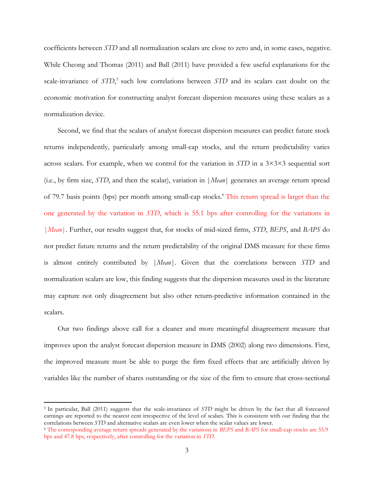coefficients between *STD* and all normalization scalars are close to zero and, in some cases, negative. While Cheong and Thomas (2011) and Ball (2011) have provided a few useful explanations for the scale-invariance of *STD*,<sup>5</sup> such low correlations between *STD* and its scalars cast doubt on the economic motivation for constructing analyst forecast dispersion measures using these scalars as a normalization device.

Second, we find that the scalars of analyst forecast dispersion measures can predict future stock returns independently, particularly among small-cap stocks, and the return predictability varies across scalars. For example, when we control for the variation in *STD* in a 3×3×3 sequential sort (i.e., by firm size, *STD*, and then the scalar), variation in |*Mean*| generates an average return spread of 79.7 basis points (bps) per month among small-cap stocks.<sup>6</sup> This return spread is larger than the one generated by the variation in *STD*, which is 55.1 bps after controlling for the variations in |*Mean*|. Further, our results suggest that, for stocks of mid-sized firms, *STD*, *BEPS*, and *BAPS* do not predict future returns and the return predictability of the original DMS measure for these firms is almost entirely contributed by |*Mean*|. Given that the correlations between *STD* and normalization scalars are low, this finding suggests that the dispersion measures used in the literature may capture not only disagreement but also other return-predictive information contained in the scalars.

Our two findings above call for a cleaner and more meaningful disagreement measure that improves upon the analyst forecast dispersion measure in DMS (2002) along two dimensions. First, the improved measure must be able to purge the firm fixed effects that are artificially driven by variables like the number of shares outstanding or the size of the firm to ensure that cross-sectional

<sup>5</sup> In particular, Ball (2011) suggests that the scale-invariance of *STD* might be driven by the fact that all forecasted earnings are reported to the nearest cent irrespective of the level of scalars. This is consistent with our finding that the correlations between *STD* and alternative scalars are even lower when the scalar values are lower.

<sup>6</sup> The corresponding average return spreads generated by the variations in *BEPS* and *BAPS* for small-cap stocks are 55.9 bps and 47.8 bps, respectively, after controlling for the variation in *STD*.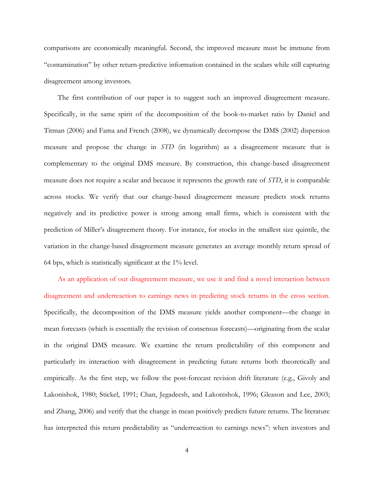comparisons are economically meaningful. Second, the improved measure must be immune from "contamination" by other return-predictive information contained in the scalars while still capturing disagreement among investors.

The first contribution of our paper is to suggest such an improved disagreement measure. Specifically, in the same spirit of the decomposition of the book-to-market ratio by Daniel and Titman (2006) and Fama and French (2008), we dynamically decompose the DMS (2002) dispersion measure and propose the change in *STD* (in logarithm) as a disagreement measure that is complementary to the original DMS measure. By construction, this change-based disagreement measure does not require a scalar and because it represents the growth rate of *STD*, it is comparable across stocks. We verify that our change-based disagreement measure predicts stock returns negatively and its predictive power is strong among small firms, which is consistent with the prediction of Miller's disagreement theory. For instance, for stocks in the smallest size quintile, the variation in the change-based disagreement measure generates an average monthly return spread of 64 bps, which is statistically significant at the 1% level.

As an application of our disagreement measure, we use it and find a novel interaction between disagreement and underreaction to earnings news in predicting stock returns in the cross section. Specifically, the decomposition of the DMS measure yields another component—the change in mean forecasts (which is essentially the revision of consensus forecasts)—originating from the scalar in the original DMS measure. We examine the return predictability of this component and particularly its interaction with disagreement in predicting future returns both theoretically and empirically. As the first step, we follow the post-forecast revision drift literature (e.g., Givoly and Lakonishok, 1980; Stickel, 1991; Chan, Jegadeesh, and Lakonishok, 1996; Gleason and Lee, 2003; and Zhang, 2006) and verify that the change in mean positively predicts future returns. The literature has interpreted this return predictability as "underreaction to earnings news": when investors and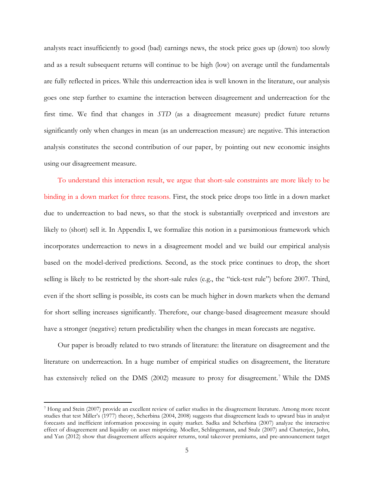analysts react insufficiently to good (bad) earnings news, the stock price goes up (down) too slowly and as a result subsequent returns will continue to be high (low) on average until the fundamentals are fully reflected in prices. While this underreaction idea is well known in the literature, our analysis goes one step further to examine the interaction between disagreement and underreaction for the first time. We find that changes in *STD* (as a disagreement measure) predict future returns significantly only when changes in mean (as an underreaction measure) are negative. This interaction analysis constitutes the second contribution of our paper, by pointing out new economic insights using our disagreement measure.

To understand this interaction result, we argue that short-sale constraints are more likely to be binding in a down market for three reasons. First, the stock price drops too little in a down market due to underreaction to bad news, so that the stock is substantially overpriced and investors are likely to (short) sell it. In Appendix I, we formalize this notion in a parsimonious framework which incorporates underreaction to news in a disagreement model and we build our empirical analysis based on the model-derived predictions. Second, as the stock price continues to drop, the short selling is likely to be restricted by the short-sale rules (e.g., the "tick-test rule") before 2007. Third, even if the short selling is possible, its costs can be much higher in down markets when the demand for short selling increases significantly. Therefore, our change-based disagreement measure should have a stronger (negative) return predictability when the changes in mean forecasts are negative.

Our paper is broadly related to two strands of literature: the literature on disagreement and the literature on underreaction. In a huge number of empirical studies on disagreement, the literature has extensively relied on the DMS (2002) measure to proxy for disagreement.<sup>7</sup> While the DMS

<sup>7</sup> Hong and Stein (2007) provide an excellent review of earlier studies in the disagreement literature. Among more recent studies that test Miller's (1977) theory, Scherbina (2004, 2008) suggests that disagreement leads to upward bias in analyst forecasts and inefficient information processing in equity market. Sadka and Scherbina (2007) analyze the interactive effect of disagreement and liquidity on asset mispricing. Moeller, Schlingemann, and Stulz (2007) and Chatterjee, John, and Yan (2012) show that disagreement affects acquirer returns, total takeover premiums, and pre-announcement target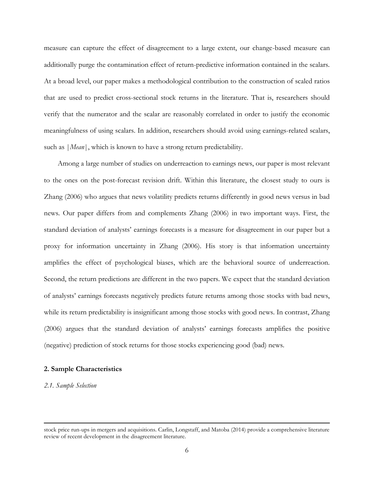measure can capture the effect of disagreement to a large extent, our change-based measure can additionally purge the contamination effect of return-predictive information contained in the scalars. At a broad level, our paper makes a methodological contribution to the construction of scaled ratios that are used to predict cross-sectional stock returns in the literature. That is, researchers should verify that the numerator and the scalar are reasonably correlated in order to justify the economic meaningfulness of using scalars. In addition, researchers should avoid using earnings-related scalars, such as |*Mean*|, which is known to have a strong return predictability.

Among a large number of studies on underreaction to earnings news, our paper is most relevant to the ones on the post-forecast revision drift. Within this literature, the closest study to ours is Zhang (2006) who argues that news volatility predicts returns differently in good news versus in bad news. Our paper differs from and complements Zhang (2006) in two important ways. First, the standard deviation of analysts' earnings forecasts is a measure for disagreement in our paper but a proxy for information uncertainty in Zhang (2006). His story is that information uncertainty amplifies the effect of psychological biases, which are the behavioral source of underreaction. Second, the return predictions are different in the two papers. We expect that the standard deviation of analysts' earnings forecasts negatively predicts future returns among those stocks with bad news, while its return predictability is insignificant among those stocks with good news. In contrast, Zhang (2006) argues that the standard deviation of analysts' earnings forecasts amplifies the positive (negative) prediction of stock returns for those stocks experiencing good (bad) news.

# **2. Sample Characteristics**

*2.1. Sample Selection*

stock price run-ups in mergers and acquisitions. Carlin, Longstaff, and Matoba (2014) provide a comprehensive literature review of recent development in the disagreement literature.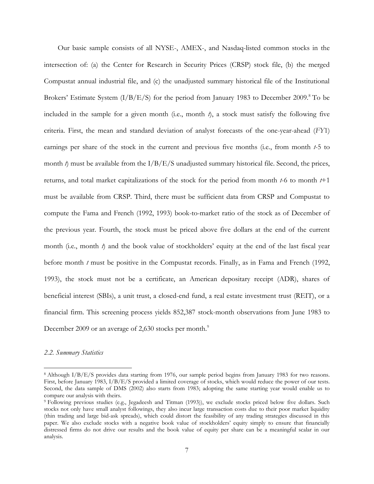Our basic sample consists of all NYSE-, AMEX-, and Nasdaq-listed common stocks in the intersection of: (a) the Center for Research in Security Prices (CRSP) stock file, (b) the merged Compustat annual industrial file, and (c) the unadjusted summary historical file of the Institutional Brokers' Estimate System  $(I/B/E/S)$  for the period from January 1983 to December 2009.<sup>8</sup> To be included in the sample for a given month (i.e., month  $\lambda$ ), a stock must satisfy the following five criteria. First, the mean and standard deviation of analyst forecasts of the one-year-ahead (*FY*1) earnings per share of the stock in the current and previous five months (i.e., from month *t*-5 to month  $\hat{t}$ ) must be available from the  $I/B/E/S$  unadjusted summary historical file. Second, the prices, returns, and total market capitalizations of the stock for the period from month *t*-6 to month *t*+1 must be available from CRSP. Third, there must be sufficient data from CRSP and Compustat to compute the Fama and French (1992, 1993) book-to-market ratio of the stock as of December of the previous year. Fourth, the stock must be priced above five dollars at the end of the current month (i.e., month *t*) and the book value of stockholders' equity at the end of the last fiscal year before month *t* must be positive in the Compustat records. Finally, as in Fama and French (1992, 1993), the stock must not be a certificate, an American depositary receipt (ADR), shares of beneficial interest (SBIs), a unit trust, a closed-end fund, a real estate investment trust (REIT), or a financial firm. This screening process yields 852,387 stock-month observations from June 1983 to December 2009 or an average of 2,630 stocks per month.<sup>9</sup>

#### *2.2. Summary Statistics*

<sup>8</sup> Although I/B/E/S provides data starting from 1976, our sample period begins from January 1983 for two reasons. First, before January 1983, I/B/E/S provided a limited coverage of stocks, which would reduce the power of our tests. Second, the data sample of DMS (2002) also starts from 1983; adopting the same starting year would enable us to compare our analysis with theirs.

<sup>9</sup> Following previous studies (e.g., Jegadeesh and Titman (1993)), we exclude stocks priced below five dollars. Such stocks not only have small analyst followings, they also incur large transaction costs due to their poor market liquidity (thin trading and large bid-ask spreads), which could distort the feasibility of any trading strategies discussed in this paper. We also exclude stocks with a negative book value of stockholders' equity simply to ensure that financially distressed firms do not drive our results and the book value of equity per share can be a meaningful scalar in our analysis.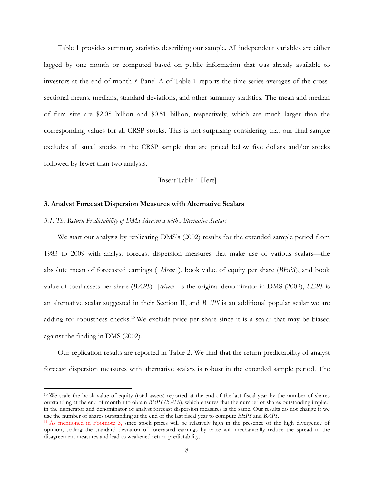Table 1 provides summary statistics describing our sample. All independent variables are either lagged by one month or computed based on public information that was already available to investors at the end of month *t*. Panel A of Table 1 reports the time-series averages of the crosssectional means, medians, standard deviations, and other summary statistics. The mean and median of firm size are \$2.05 billion and \$0.51 billion, respectively, which are much larger than the corresponding values for all CRSP stocks. This is not surprising considering that our final sample excludes all small stocks in the CRSP sample that are priced below five dollars and/or stocks followed by fewer than two analysts.

# [Insert Table 1 Here]

## **3. Analyst Forecast Dispersion Measures with Alternative Scalars**

# *3.1. The Return Predictability of DMS Measures with Alternative Scalars*

 $\overline{\phantom{a}}$ 

We start our analysis by replicating DMS's (2002) results for the extended sample period from 1983 to 2009 with analyst forecast dispersion measures that make use of various scalars—the absolute mean of forecasted earnings (*|Mean|*), book value of equity per share (*BEPS*), and book value of total assets per share (*BAPS*). *|Mean|* is the original denominator in DMS (2002), *BEPS* is an alternative scalar suggested in their Section II, and *BAPS* is an additional popular scalar we are adding for robustness checks.<sup>10</sup> We exclude price per share since it is a scalar that may be biased against the finding in DMS  $(2002).$ <sup>11</sup>

Our replication results are reported in Table 2. We find that the return predictability of analyst forecast dispersion measures with alternative scalars is robust in the extended sample period. The

<sup>10</sup> We scale the book value of equity (total assets) reported at the end of the last fiscal year by the number of shares outstanding at the end of month *t* to obtain *BEPS* (*BAPS*), which ensures that the number of shares outstanding implied in the numerator and denominator of analyst forecast dispersion measures is the same. Our results do not change if we use the number of shares outstanding at the end of the last fiscal year to compute *BEPS* and *BAPS*.

<sup>11</sup> As mentioned in Footnote 3, since stock prices will be relatively high in the presence of the high divergence of opinion, scaling the standard deviation of forecasted earnings by price will mechanically reduce the spread in the disagreement measures and lead to weakened return predictability.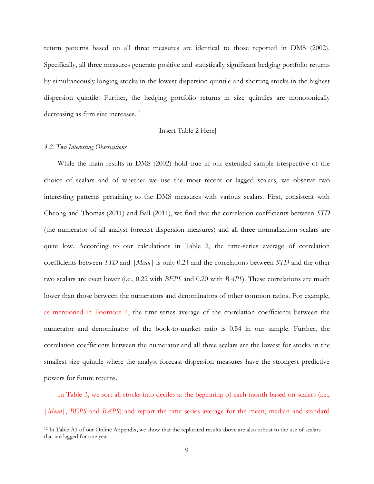return patterns based on all three measures are identical to those reported in DMS (2002). Specifically, all three measures generate positive and statistically significant hedging portfolio returns by simultaneously longing stocks in the lowest dispersion quintile and shorting stocks in the highest dispersion quintile. Further, the hedging portfolio returns in size quintiles are monotonically decreasing as firm size increases.<sup>12</sup>

# [Insert Table 2 Here]

## *3.2. Two Interesting Observations*

 $\overline{\phantom{a}}$ 

While the main results in DMS (2002) hold true in our extended sample irrespective of the choice of scalars and of whether we use the most recent or lagged scalars, we observe two interesting patterns pertaining to the DMS measures with various scalars. First, consistent with Cheong and Thomas (2011) and Ball (2011), we find that the correlation coefficients between *STD*  (the numerator of all analyst forecast dispersion measures) and all three normalization scalars are quite low. According to our calculations in Table 2, the time-series average of correlation coefficients between *STD* and *|Mean|* is only 0.24 and the correlations between *STD* and the other two scalars are even lower (i.e., 0.22 with *BEPS* and 0.20 with *BAPS*). These correlations are much lower than those between the numerators and denominators of other common ratios. For example, as mentioned in Footnote 4, the time-series average of the correlation coefficients between the numerator and denominator of the book-to-market ratio is 0.54 in our sample. Further, the correlation coefficients between the numerator and all three scalars are the lowest for stocks in the smallest size quintile where the analyst forecast dispersion measures have the strongest predictive powers for future returns.

In Table 3, we sort all stocks into deciles at the beginning of each month based on scalars (i.e., |*Mean*|, *BEPS* and *BAPS*) and report the time series average for the mean, median and standard

<sup>&</sup>lt;sup>12</sup> In Table A1 of our Online Appendix, we show that the replicated results above are also robust to the use of scalars that are lagged for one year.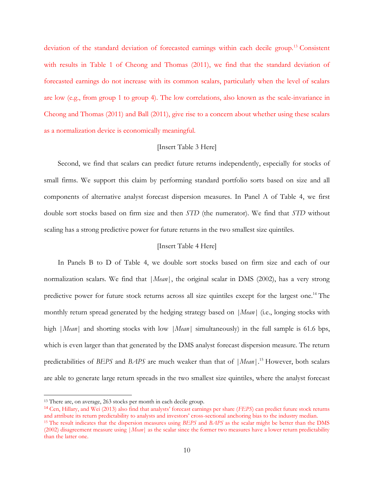deviation of the standard deviation of forecasted earnings within each decile group.<sup>13</sup> Consistent with results in Table 1 of Cheong and Thomas (2011), we find that the standard deviation of forecasted earnings do not increase with its common scalars, particularly when the level of scalars are low (e.g., from group 1 to group 4). The low correlations, also known as the scale-invariance in Cheong and Thomas (2011) and Ball (2011), give rise to a concern about whether using these scalars as a normalization device is economically meaningful.

# [Insert Table 3 Here]

Second, we find that scalars can predict future returns independently, especially for stocks of small firms. We support this claim by performing standard portfolio sorts based on size and all components of alternative analyst forecast dispersion measures. In Panel A of Table 4, we first double sort stocks based on firm size and then *STD* (the numerator). We find that *STD* without scaling has a strong predictive power for future returns in the two smallest size quintiles.

# [Insert Table 4 Here]

In Panels B to D of Table 4, we double sort stocks based on firm size and each of our normalization scalars. We find that |*Mean*|, the original scalar in DMS (2002), has a very strong predictive power for future stock returns across all size quintiles except for the largest one.<sup>14</sup> The monthly return spread generated by the hedging strategy based on *|Mean|* (i.e., longing stocks with high *|Mean*| and shorting stocks with low *|Mean*| simultaneously) in the full sample is 61.6 bps, which is even larger than that generated by the DMS analyst forecast dispersion measure. The return predictabilities of *BEPS* and *BAPS* are much weaker than that of |*Mean*|.<sup>15</sup> However, both scalars are able to generate large return spreads in the two smallest size quintiles, where the analyst forecast

 $\overline{\phantom{a}}$ 

<sup>14</sup> Cen, Hillary, and Wei (2013) also find that analysts' forecast earnings per share (*FEPS*) can predict future stock returns and attribute its return predictability to analysts and investors' cross-sectional anchoring bias to the industry median.

<sup>13</sup> There are, on average, 263 stocks per month in each decile group.

<sup>15</sup> The result indicates that the dispersion measures using *BEPS* and *BAPS* as the scalar might be better than the DMS (2002) disagreement measure using |*Mean*| as the scalar since the former two measures have a lower return predictability than the latter one.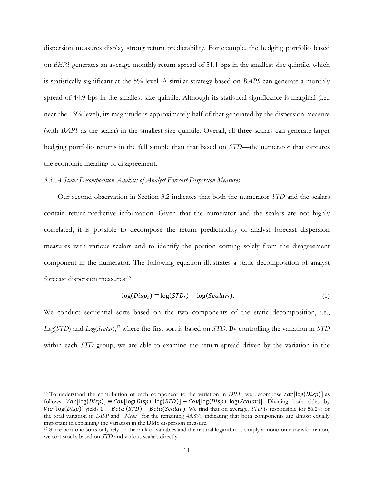dispersion measures display strong return predictability. For example, the hedging portfolio based on *BEPS* generates an average monthly return spread of 51.1 bps in the smallest size quintile, which is statistically significant at the 5% level. A similar strategy based on *BAPS* can generate a monthly spread of 44.9 bps in the smallest size quintile. Although its statistical significance is marginal (i.e., near the 13% level), its magnitude is approximately half of that generated by the dispersion measure (with *BAPS* as the scalar) in the smallest size quintile. Overall, all three scalars can generate larger hedging portfolio returns in the full sample than that based on *STD*—the numerator that captures the economic meaning of disagreement.

# *3.3. A Static Decomposition Analysis of Analyst Forecast Dispersion Measures*

 $\overline{\phantom{a}}$ 

Our second observation in Section 3.2 indicates that both the numerator *STD* and the scalars contain return-predictive information. Given that the numerator and the scalars are not highly correlated, it is possible to decompose the return predictability of analyst forecast dispersion measures with various scalars and to identify the portion coming solely from the disagreement component in the numerator. The following equation illustrates a static decomposition of analyst forecast dispersion measures: 16

$$
log(Disp_t) \equiv log(STD_t) - log(Scalar_t). \tag{1}
$$

We conduct sequential sorts based on the two components of the static decomposition, i.e., *Log*(*STD*) and *Log*(*Scalar*), <sup>17</sup> where the first sort is based on *STD*. By controlling the variation in *STD* within each *STD* group, we are able to examine the return spread driven by the variation in the

<sup>&</sup>lt;sup>16</sup> To understand the contribution of each component to the variation in *DISP*, we decompose  $Var[log(Disp)]$  as follows:  $Var[log(Disp)] \equiv Cov[log(Disp), log(STD)] - Cov[log(Disp), log(Scalar)]$ . Dividing both sides by  $Var[log(Disp)]$  yields  $1 \equiv Beta(SrB) - Beta(Scalar)$ . We find that on average, *STD* is responsible for 56.2% of the total variation in *DISP* and |*Mean*| for the remaining 43.8%, indicating that both components are almost equally important in explaining the variation in the DMS dispersion measure.

<sup>&</sup>lt;sup>17</sup> Since portfolio sorts only rely on the rank of variables and the natural logarithm is simply a monotonic transformation, we sort stocks based on *STD* and various scalars directly.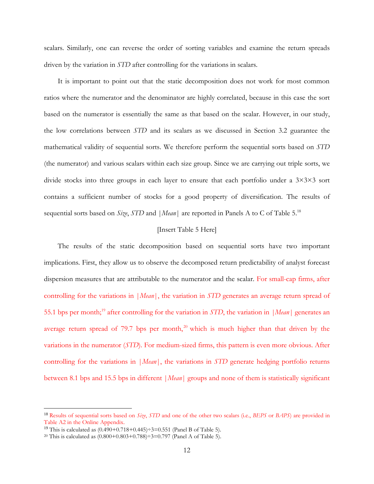scalars. Similarly, one can reverse the order of sorting variables and examine the return spreads driven by the variation in *STD* after controlling for the variations in scalars.

It is important to point out that the static decomposition does not work for most common ratios where the numerator and the denominator are highly correlated, because in this case the sort based on the numerator is essentially the same as that based on the scalar. However, in our study, the low correlations between *STD* and its scalars as we discussed in Section 3.2 guarantee the mathematical validity of sequential sorts. We therefore perform the sequential sorts based on *STD* (the numerator) and various scalars within each size group. Since we are carrying out triple sorts, we divide stocks into three groups in each layer to ensure that each portfolio under a 3×3×3 sort contains a sufficient number of stocks for a good property of diversification. The results of sequential sorts based on *Size*, *STD* and |*Mean*| are reported in Panels A to C of Table 5. 18

# [Insert Table 5 Here]

The results of the static decomposition based on sequential sorts have two important implications. First, they allow us to observe the decomposed return predictability of analyst forecast dispersion measures that are attributable to the numerator and the scalar. For small-cap firms, after controlling for the variations in |*Mean*|, the variation in *STD* generates an average return spread of 55.1 bps per month;<sup>19</sup> after controlling for the variation in *STD*, the variation in *|Mean|* generates an average return spread of 79.7 bps per month,<sup>20</sup> which is much higher than that driven by the variations in the numerator (*STD*). For medium-sized firms, this pattern is even more obvious. After controlling for the variations in |*Mean*|, the variations in *STD* generate hedging portfolio returns between 8.1 bps and 15.5 bps in different |*Mean*| groups and none of them is statistically significant

<sup>18</sup> Results of sequential sorts based on *Size*, *STD* and one of the other two scalars (i.e., *BEPS* or *BAPS*) are provided in Table A2 in the Online Appendix.

<sup>&</sup>lt;sup>19</sup> This is calculated as  $(0.490+0.718+0.445)\div 3=0.551$  (Panel B of Table 5).

<sup>&</sup>lt;sup>20</sup> This is calculated as  $(0.800+0.803+0.788)$  ÷3=0.797 (Panel A of Table 5).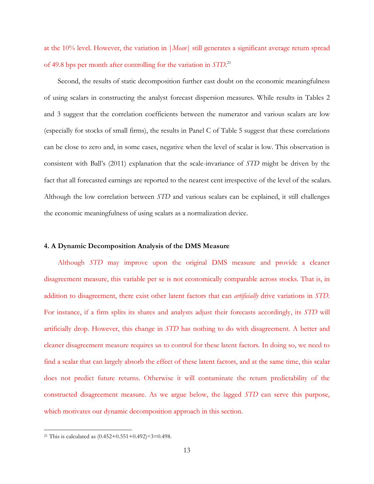at the 10% level. However, the variation in |*Mean*| still generates a significant average return spread of 49.8 bps per month after controlling for the variation in *STD*. 21

Second, the results of static decomposition further cast doubt on the economic meaningfulness of using scalars in constructing the analyst forecast dispersion measures. While results in Tables 2 and 3 suggest that the correlation coefficients between the numerator and various scalars are low (especially for stocks of small firms), the results in Panel C of Table 5 suggest that these correlations can be close to zero and, in some cases, negative when the level of scalar is low. This observation is consistent with Ball's (2011) explanation that the scale-invariance of *STD* might be driven by the fact that all forecasted earnings are reported to the nearest cent irrespective of the level of the scalars. Although the low correlation between *STD* and various scalars can be explained, it still challenges the economic meaningfulness of using scalars as a normalization device.

# **4. A Dynamic Decomposition Analysis of the DMS Measure**

Although *STD* may improve upon the original DMS measure and provide a cleaner disagreement measure, this variable per se is not economically comparable across stocks. That is, in addition to disagreement, there exist other latent factors that can *artificially* drive variations in *STD*. For instance, if a firm splits its shares and analysts adjust their forecasts accordingly, its *STD* will artificially drop. However, this change in *STD* has nothing to do with disagreement. A better and cleaner disagreement measure requires us to control for these latent factors. In doing so, we need to find a scalar that can largely absorb the effect of these latent factors, and at the same time, this scalar does not predict future returns. Otherwise it will contaminate the return predictability of the constructed disagreement measure. As we argue below, the lagged *STD* can serve this purpose, which motivates our dynamic decomposition approach in this section.

<sup>&</sup>lt;sup>21</sup> This is calculated as  $(0.452+0.551+0.492) \div 3 = 0.498$ .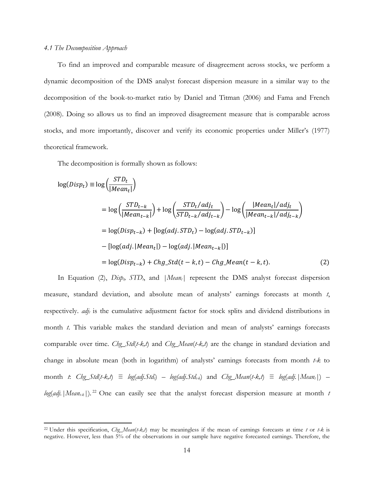# *4.1 The Decomposition Approach*

 $\overline{\phantom{a}}$ 

To find an improved and comparable measure of disagreement across stocks, we perform a dynamic decomposition of the DMS analyst forecast dispersion measure in a similar way to the decomposition of the book-to-market ratio by Daniel and Titman (2006) and Fama and French (2008). Doing so allows us to find an improved disagreement measure that is comparable across stocks, and more importantly, discover and verify its economic properties under Miller's (1977) theoretical framework.

The decomposition is formally shown as follows:

$$
log(Disp_t) \equiv log\left(\frac{STD_t}{|Mean_t|}\right)
$$
  
= 
$$
log\left(\frac{STD_{t-k}}{|Mean_{t-k}|}\right) + log\left(\frac{STD_t/adj_t}{STD_{t-k}/adj_{t-k}}\right) - log\left(\frac{|Mean_t|/adj_t}{|Mean_{t-k}|/adj_{t-k}}\right)
$$
  
= 
$$
log(Disp_{t-k}) + [log(adj.STD_t) - log(adj.STD_{t-k})]
$$
  
- 
$$
[log(adj.|Mean_t|) - log(adj.|Mean_{t-k}|)]
$$
  
= 
$$
log(Disp_{t-k}) + Chg_Std(t-k,t) - Chg_Mean(t-k,t).
$$
 (2)

In Equation (2), *Dispt, STDt*, and *|Meant|* represent the DMS analyst forecast dispersion measure, standard deviation, and absolute mean of analysts' earnings forecasts at month *t*, respectively. *adj<sup>t</sup>* is the cumulative adjustment factor for stock splits and dividend distributions in month *t*. This variable makes the standard deviation and mean of analysts' earnings forecasts comparable over time. *Chg\_Std*(*t-k,t*) and *Chg\_Mean*(*t-k,t*) are the change in standard deviation and change in absolute mean (both in logarithm) of analysts' earnings forecasts from month *t-k* to month *t*: *Chg\_Std*(*t-k,t*)  $\equiv log(adj.5td) - log(adj.5td)$  and *Chg\_Mean*(*t-k,t*)  $\equiv log(adj.|Mean<sub>t</sub>|) - log(adj.1td)$ *log*(*adj.|Meant-k|*)*.* <sup>22</sup> One can easily see that the analyst forecast dispersion measure at month *t*

<sup>22</sup> Under this specification, *Chg\_Mean*(*t-k,t*) may be meaningless if the mean of earnings forecasts at time *t* or *t-k* is negative. However, less than 5% of the observations in our sample have negative forecasted earnings. Therefore, the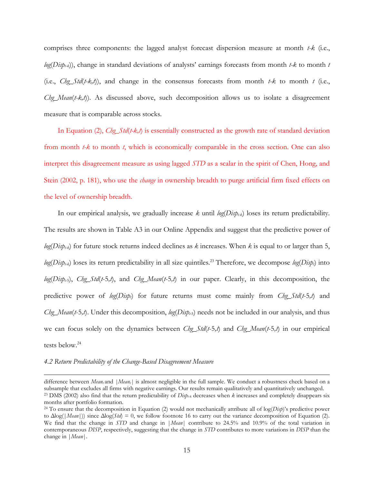comprises three components: the lagged analyst forecast dispersion measure at month *t-k* (i.e., *log*(*Dispt-k*)), change in standard deviations of analysts' earnings forecasts from month *t-k* to month *t* (i.e., *Chg\_Std*(*t-k,t*)), and change in the consensus forecasts from month *t-k* to month *t* (i.e., *Chg\_Mean*(*t-k,t*)). As discussed above, such decomposition allows us to isolate a disagreement measure that is comparable across stocks.

In Equation (2), *Chg\_Std*(*t-k,t*) is essentially constructed as the growth rate of standard deviation from month *t-k* to month *t*, which is economically comparable in the cross section. One can also interpret this disagreement measure as using lagged *STD* as a scalar in the spirit of Chen, Hong, and Stein (2002, p. 181), who use the *change* in ownership breadth to purge artificial firm fixed effects on the level of ownership breadth.

In our empirical analysis, we gradually increase *k* until *log*(*Dispt-k*) loses its return predictability. The results are shown in Table A3 in our Online Appendix and suggest that the predictive power of *log*(*Dispt-k*) for future stock returns indeed declines as *k* increases. When *k* is equal to or larger than 5,  $log(Disp_{t,k})$  loses its return predictability in all size quintiles.<sup>23</sup> Therefore, we decompose  $log(Disp_t)$  into *log*(*Dispt-*5), *Chg\_Std*(*t*-5*,t*), and *Chg\_Mean*(*t*-5*,t*) in our paper. Clearly, in this decomposition, the predictive power of *log*(*Dispt*) for future returns must come mainly from *Chg\_Std*(*t*-5*,t*) and *Chg\_Mean*(*t*-5*,t*). Under this decomposition, *log*(*Dispt-*5) needs not be included in our analysis, and thus we can focus solely on the dynamics between *Chg\_Std*(*t*-5*,t*) and *Chg\_Mean*(*t*-5*,t*) in our empirical tests below.<sup>24</sup>

## *4.2 Return Predictability of the Change-Based Disagreement Measure*

difference between *Mean<sub>t</sub>* and *|Mean<sub>t</sub> |* is almost negligible in the full sample. We conduct a robustness check based on a subsample that excludes all firms with negative earnings. Our results remain qualitatively and quantitatively unchanged. <sup>23</sup> DMS (2002) also find that the return predictability of  $Di\phi_{k}$  decreases when  $k$  increases and completely disappears six

months after portfolio formation.

<sup>24</sup> To ensure that the decomposition in Equation (2) would not mechanically attribute all of log(*Disp*)'s predictive power to Δlog(|*Mean*|)) since Δlog(*Std*) = 0, we follow footnote 16 to carry out the variance decomposition of Equation (2). We find that the change in *STD* and change in |*Mean*| contribute to 24.5% and 10.9% of the total variation in contemporaneous *DISP*, respectively, suggesting that the change in *STD* contributes to more variations in *DISP* than the change in |*Mean*|.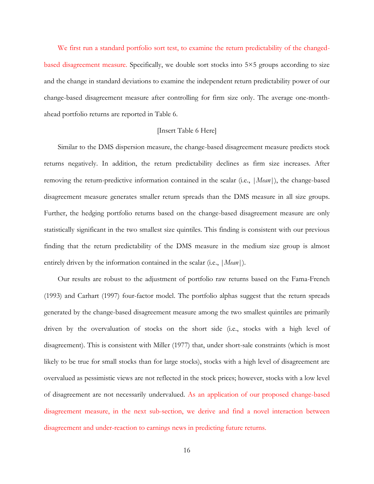We first run a standard portfolio sort test, to examine the return predictability of the changedbased disagreement measure. Specifically, we double sort stocks into 5×5 groups according to size and the change in standard deviations to examine the independent return predictability power of our change-based disagreement measure after controlling for firm size only. The average one-monthahead portfolio returns are reported in Table 6.

# [Insert Table 6 Here]

Similar to the DMS dispersion measure, the change-based disagreement measure predicts stock returns negatively. In addition, the return predictability declines as firm size increases. After removing the return-predictive information contained in the scalar (i.e., |*Mean*|), the change-based disagreement measure generates smaller return spreads than the DMS measure in all size groups. Further, the hedging portfolio returns based on the change-based disagreement measure are only statistically significant in the two smallest size quintiles. This finding is consistent with our previous finding that the return predictability of the DMS measure in the medium size group is almost entirely driven by the information contained in the scalar (i.e., |*Mean*|).

Our results are robust to the adjustment of portfolio raw returns based on the Fama-French (1993) and Carhart (1997) four-factor model. The portfolio alphas suggest that the return spreads generated by the change-based disagreement measure among the two smallest quintiles are primarily driven by the overvaluation of stocks on the short side (i.e., stocks with a high level of disagreement). This is consistent with Miller (1977) that, under short-sale constraints (which is most likely to be true for small stocks than for large stocks), stocks with a high level of disagreement are overvalued as pessimistic views are not reflected in the stock prices; however, stocks with a low level of disagreement are not necessarily undervalued. As an application of our proposed change-based disagreement measure, in the next sub-section, we derive and find a novel interaction between disagreement and under-reaction to earnings news in predicting future returns.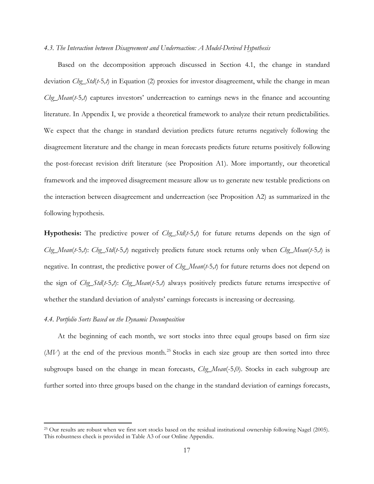#### *4.3. The Interaction between Disagreement and Underreaction: A Model-Derived Hypothesis*

Based on the decomposition approach discussed in Section 4.1, the change in standard deviation *Chg\_Std*(*t*-5*,t*) in Equation (2) proxies for investor disagreement, while the change in mean *Chg\_Mean(t-5,t)* captures investors' underreaction to earnings news in the finance and accounting literature. In Appendix I, we provide a theoretical framework to analyze their return predictabilities. We expect that the change in standard deviation predicts future returns negatively following the disagreement literature and the change in mean forecasts predicts future returns positively following the post-forecast revision drift literature (see Proposition A1). More importantly, our theoretical framework and the improved disagreement measure allow us to generate new testable predictions on the interaction between disagreement and underreaction (see Proposition A2) as summarized in the following hypothesis.

**Hypothesis:** The predictive power of *Chg\_Std*(*t*-5,*t*) for future returns depends on the sign of *Chg\_Mean*(*t*-5*,t*): *Chg\_Std*(*t*-5,*t*) negatively predicts future stock returns only when *Chg\_Mean*(*t*-5*,t*) is negative. In contrast, the predictive power of *Chg\_Mean*(*t*-5*,t*) for future returns does not depend on the sign of *Chg\_Std*(*t*-5,*t*): *Chg\_Mean*(*t*-5*,t*) always positively predicts future returns irrespective of whether the standard deviation of analysts' earnings forecasts is increasing or decreasing.

# *4.4. Portfolio Sorts Based on the Dynamic Decomposition*

 $\overline{\phantom{a}}$ 

At the beginning of each month, we sort stocks into three equal groups based on firm size  $(MV)$  at the end of the previous month.<sup>25</sup> Stocks in each size group are then sorted into three subgroups based on the change in mean forecasts, *Chg\_Mean*(-5,0). Stocks in each subgroup are further sorted into three groups based on the change in the standard deviation of earnings forecasts,

<sup>&</sup>lt;sup>25</sup> Our results are robust when we first sort stocks based on the residual institutional ownership following Nagel (2005). This robustness check is provided in Table A3 of our Online Appendix.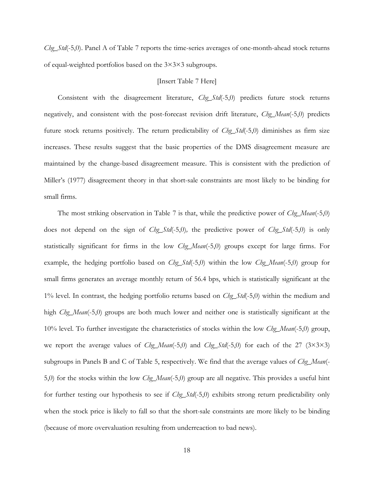*Chg\_Std*(-5,0). Panel A of Table 7 reports the time-series averages of one-month-ahead stock returns of equal-weighted portfolios based on the 3×3×3 subgroups.

# [Insert Table 7 Here]

Consistent with the disagreement literature, *Chg\_Std*(-5,0) predicts future stock returns negatively, and consistent with the post-forecast revision drift literature, *Chg\_Mean*(-5,0) predicts future stock returns positively. The return predictability of *Chg\_Std*(-5,0) diminishes as firm size increases. These results suggest that the basic properties of the DMS disagreement measure are maintained by the change-based disagreement measure. This is consistent with the prediction of Miller's (1977) disagreement theory in that short-sale constraints are most likely to be binding for small firms.

The most striking observation in Table 7 is that, while the predictive power of *Chg\_Mean*(-5,0) does not depend on the sign of *Chg\_Std*(-5,0)*,* the predictive power of *Chg\_Std*(-5,0) is only statistically significant for firms in the low *Chg\_Mean*(-5,0) groups except for large firms. For example, the hedging portfolio based on *Chg\_Std*(-5,0) within the low *Chg\_Mean*(-5,0) group for small firms generates an average monthly return of 56.4 bps, which is statistically significant at the 1% level. In contrast, the hedging portfolio returns based on *Chg\_Std*(-5,0) within the medium and high *Chg\_Mean*(-5,0) groups are both much lower and neither one is statistically significant at the 10% level. To further investigate the characteristics of stocks within the low *Chg\_Mean*(-5,0) group, we report the average values of *Chg\_Mean*(-5,0) and *Chg\_Std*(-5,0) for each of the 27 (3×3×3) subgroups in Panels B and C of Table 5, respectively. We find that the average values of *Chg\_Mean*(- 5,0) for the stocks within the low *Chg\_Mean*(-5,0) group are all negative. This provides a useful hint for further testing our hypothesis to see if *Chg\_Std*(-5,0) exhibits strong return predictability only when the stock price is likely to fall so that the short-sale constraints are more likely to be binding (because of more overvaluation resulting from underreaction to bad news).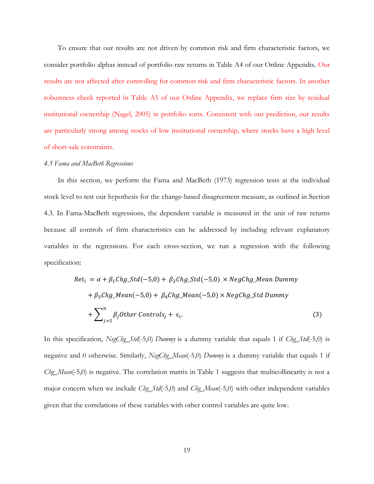To ensure that our results are not driven by common risk and firm characteristic factors, we consider portfolio alphas instead of portfolio raw returns in Table A4 of our Online Appendix. Our results are not affected after controlling for common risk and firm characteristic factors. In another robustness check reported in Table A5 of our Online Appendix, we replace firm size by residual institutional ownership (Nagel, 2005) in portfolio sorts. Consistent with our prediction, our results are particularly strong among stocks of low institutional ownership, where stocks have a high level of short-sale constraints.

#### *4.5 Fama and MacBeth Regressions*

In this section, we perform the Fama and MacBeth (1973) regression tests at the individual stock level to test our hypothesis for the change-based disagreement measure, as outlined in Section 4.3. In Fama-MacBeth regressions, the dependent variable is measured in the unit of raw returns because all controls of firm characteristics can be addressed by including relevant explanatory variables in the regressions. For each cross-section, we run a regression with the following specification:

$$
Ret_i = \alpha + \beta_1 Chg\_Std(-5,0) + \beta_2 Chg\_Std(-5,0) \times NegChg\_MeanDummy
$$
  
+  $\beta_3 Chg\_Mean(-5,0) + \beta_4 Chg\_Mean(-5,0) \times NegChg\_StdDummy$   
+  $\sum_{j=5}^{n} \beta_j Other Controls_j + \varepsilon_i.$  (3)

In this specification, *NegChg\_Std*(-5,0) *Dummy* is a dummy variable that equals 1 if *Chg\_Std*(-5,0) is negative and 0 otherwise. Similarly, *NegChg\_Mean*(-5,0) *Dummy* is a dummy variable that equals 1 if *Chg\_Mean*(-5,0) is negative. The correlation matrix in Table 1 suggests that multicollinearity is not a major concern when we include *Chg\_Std*(-5,0) and *Chg\_Mean*(-5,0) with other independent variables given that the correlations of these variables with other control variables are quite low.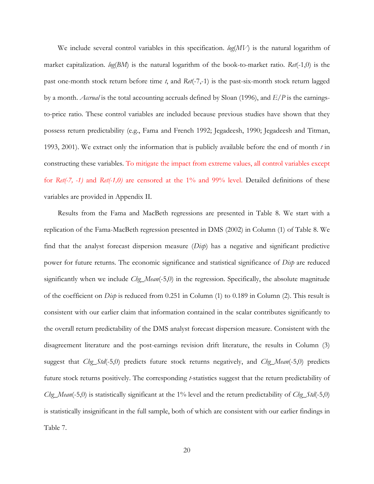We include several control variables in this specification. *log*(*MV*) is the natural logarithm of market capitalization. *log*(*BM*) is the natural logarithm of the book-to-market ratio. *Ret*(-1,0) is the past one-month stock return before time *t*, and *Ret*(-7,-1) is the past-six-month stock return lagged by a month. *Accrual* is the total accounting accruals defined by Sloan (1996), and *E/P* is the earningsto-price ratio. These control variables are included because previous studies have shown that they possess return predictability (e.g., Fama and French 1992; Jegadeesh, 1990; Jegadeesh and Titman, 1993, 2001). We extract only the information that is publicly available before the end of month *t* in constructing these variables. To mitigate the impact from extreme values, all control variables except for *Ret(-7, -1)* and *Ret(-1,0)* are censored at the 1% and 99% level. Detailed definitions of these variables are provided in Appendix II.

Results from the Fama and MacBeth regressions are presented in Table 8. We start with a replication of the Fama-MacBeth regression presented in DMS (2002) in Column (1) of Table 8. We find that the analyst forecast dispersion measure (*Disp*) has a negative and significant predictive power for future returns. The economic significance and statistical significance of *Disp* are reduced significantly when we include *Chg\_Mean*(-5,0) in the regression. Specifically, the absolute magnitude of the coefficient on *Disp* is reduced from 0.251 in Column (1) to 0.189 in Column (2). This result is consistent with our earlier claim that information contained in the scalar contributes significantly to the overall return predictability of the DMS analyst forecast dispersion measure. Consistent with the disagreement literature and the post-earnings revision drift literature, the results in Column (3) suggest that *Chg\_Std*(-5,0) predicts future stock returns negatively, and *Chg\_Mean*(-5,0) predicts future stock returns positively. The corresponding *t*-statistics suggest that the return predictability of *Chg\_Mean*(-5,0) is statistically significant at the 1% level and the return predictability of *Chg\_Std*(-5,0) is statistically insignificant in the full sample, both of which are consistent with our earlier findings in Table 7.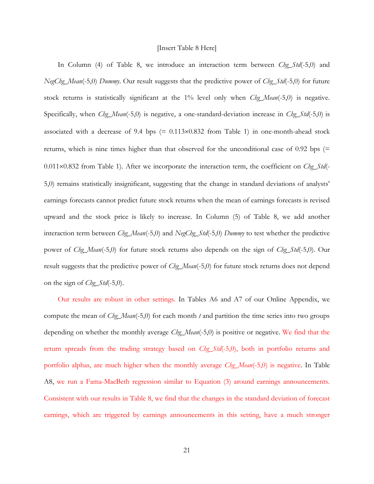#### [Insert Table 8 Here]

In Column (4) of Table 8, we introduce an interaction term between *Chg\_Std*(-5,0) and *NegChg\_Mean*(-5,0) *Dummy*. Our result suggests that the predictive power of *Chg\_Std*(-5,0) for future stock returns is statistically significant at the 1% level only when *Chg\_Mean*(-5,0) is negative. Specifically, when *Chg\_Mean*(-5,0) is negative, a one-standard-deviation increase in *Chg\_Std*(-5,0) is associated with a decrease of 9.4 bps  $(= 0.113 \times 0.832$  from Table 1) in one-month-ahead stock returns, which is nine times higher than that observed for the unconditional case of 0.92 bps (= 0.011×0.832 from Table 1). After we incorporate the interaction term, the coefficient on *Chg\_Std*(-5,0) remains statistically insignificant, suggesting that the change in standard deviations of analysts' earnings forecasts cannot predict future stock returns when the mean of earnings forecasts is revised upward and the stock price is likely to increase. In Column (5) of Table 8, we add another interaction term between *Chg\_Mean*(-5,0) and *NegChg\_Std*(-5,0) *Dummy* to test whether the predictive power of *Chg\_Mean*(-5,0) for future stock returns also depends on the sign of *Chg\_Std*(-5,0). Our result suggests that the predictive power of *Chg\_Mean*(-5,0) for future stock returns does not depend on the sign of *Chg\_Std*(-5,0).

Our results are robust in other settings. In Tables A6 and A7 of our Online Appendix, we compute the mean of *Chg\_Mean*(-5,0) for each month *t* and partition the time series into two groups depending on whether the monthly average *Chg\_Mean*(-5,0) is positive or negative. We find that the return spreads from the trading strategy based on *Chg\_Std*(-5,0), both in portfolio returns and portfolio alphas, are much higher when the monthly average *Chg\_Mean*(-5,0) is negative. In Table A8, we run a Fama-MacBeth regression similar to Equation (3) around earnings announcements. Consistent with our results in Table 8, we find that the changes in the standard deviation of forecast earnings, which are triggered by earnings announcements in this setting, have a much stronger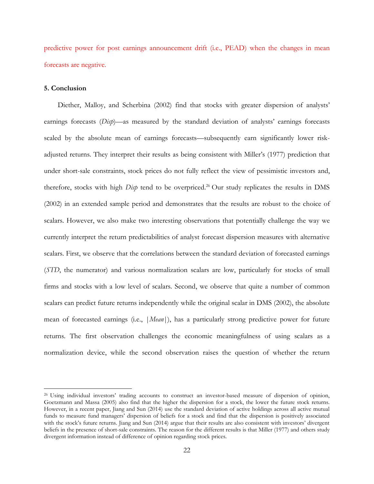predictive power for post earnings announcement drift (i.e., PEAD) when the changes in mean forecasts are negative.

### **5. Conclusion**

 $\overline{\phantom{a}}$ 

Diether, Malloy, and Scherbina (2002) find that stocks with greater dispersion of analysts' earnings forecasts (*Disp*)—as measured by the standard deviation of analysts' earnings forecasts scaled by the absolute mean of earnings forecasts—subsequently earn significantly lower riskadjusted returns. They interpret their results as being consistent with Miller's (1977) prediction that under short-sale constraints, stock prices do not fully reflect the view of pessimistic investors and, therefore, stocks with high *Disp* tend to be overpriced. <sup>26</sup> Our study replicates the results in DMS (2002) in an extended sample period and demonstrates that the results are robust to the choice of scalars. However, we also make two interesting observations that potentially challenge the way we currently interpret the return predictabilities of analyst forecast dispersion measures with alternative scalars. First, we observe that the correlations between the standard deviation of forecasted earnings (*STD*, the numerator) and various normalization scalars are low, particularly for stocks of small firms and stocks with a low level of scalars. Second, we observe that quite a number of common scalars can predict future returns independently while the original scalar in DMS (2002), the absolute mean of forecasted earnings (i.e., |*Mean*|), has a particularly strong predictive power for future returns. The first observation challenges the economic meaningfulness of using scalars as a normalization device, while the second observation raises the question of whether the return

<sup>26</sup> Using individual investors' trading accounts to construct an investor-based measure of dispersion of opinion, Goetzmann and Massa (2005) also find that the higher the dispersion for a stock, the lower the future stock returns. However, in a recent paper, Jiang and Sun (2014) use the standard deviation of active holdings across all active mutual funds to measure fund managers' dispersion of beliefs for a stock and find that the dispersion is positively associated with the stock's future returns. Jiang and Sun (2014) argue that their results are also consistent with investors' divergent beliefs in the presence of short-sale constraints. The reason for the different results is that Miller (1977) and others study divergent information instead of difference of opinion regarding stock prices.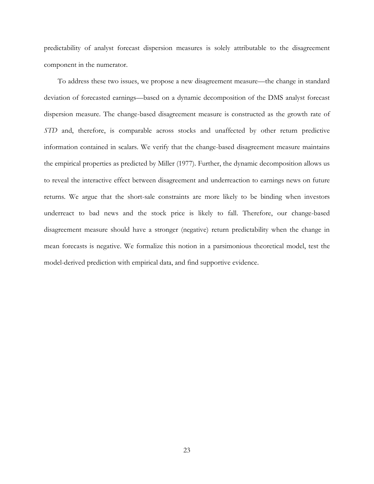predictability of analyst forecast dispersion measures is solely attributable to the disagreement component in the numerator.

To address these two issues, we propose a new disagreement measure—the change in standard deviation of forecasted earnings—based on a dynamic decomposition of the DMS analyst forecast dispersion measure. The change-based disagreement measure is constructed as the growth rate of *STD* and, therefore, is comparable across stocks and unaffected by other return predictive information contained in scalars. We verify that the change-based disagreement measure maintains the empirical properties as predicted by Miller (1977). Further, the dynamic decomposition allows us to reveal the interactive effect between disagreement and underreaction to earnings news on future returns. We argue that the short-sale constraints are more likely to be binding when investors underreact to bad news and the stock price is likely to fall. Therefore, our change-based disagreement measure should have a stronger (negative) return predictability when the change in mean forecasts is negative. We formalize this notion in a parsimonious theoretical model, test the model-derived prediction with empirical data, and find supportive evidence.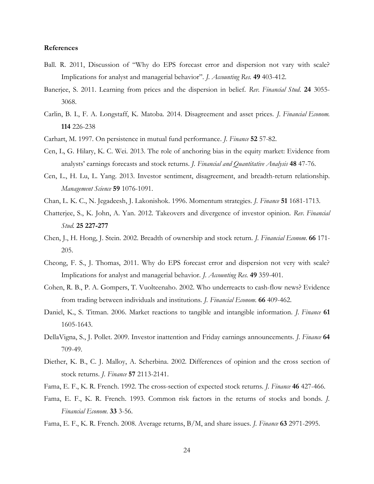### **References**

- Ball. R. 2011, Discussion of "Why do EPS forecast error and dispersion not vary with scale? Implications for analyst and managerial behavior". *J. Accounting Res.* **49** 403-412.
- Banerjee, S. 2011. Learning from prices and the dispersion in belief. *Rev. Financial Stud.* **24** 3055- 3068.
- Carlin, B. I., F. A. Longstaff, K. Matoba. 2014. Disagreement and asset prices. *J. Financial Econom.*  **114** 226-238
- Carhart, M. 1997. On persistence in mutual fund performance. *J. Finance* **52** 57-82.
- Cen, L, G. Hilary, K. C. Wei. 2013. The role of anchoring bias in the equity market: Evidence from analysts' earnings forecasts and stock returns. *J. Financial and Quantitative Analysis* **48** 47-76.
- Cen, L., H. Lu, L. Yang. 2013. Investor sentiment, disagreement, and breadth-return relationship. *Management Science* **59** 1076-1091.
- Chan, L. K. C., N. Jegadeesh, J. Lakonishok. 1996. Momentum strategies. *J. Finance* **51** 1681-1713.
- Chatterjee, S., K. John, A. Yan. 2012. Takeovers and divergence of investor opinion. *Rev. Financial Stud.* **25 227-277**
- Chen, J., H. Hong, J. Stein. 2002. Breadth of ownership and stock return. *J. Financial Econom.* **66** 171- 205.
- Cheong, F. S., J. Thomas, 2011. Why do EPS forecast error and dispersion not very with scale? Implications for analyst and managerial behavior. *J. Accounting Res.* **49** 359-401.
- Cohen, R. B., P. A. Gompers, T. Vuolteenaho. 2002. Who underreacts to cash-flow news? Evidence from trading between individuals and institutions. *J. Financial Econom.* **66** 409-462.
- Daniel, K., S. Titman. 2006. Market reactions to tangible and intangible information. *J. Finance* **61** 1605-1643.
- DellaVigna, S., J. Pollet. 2009. Investor inattention and Friday earnings announcements. *J. Finance* **64** 709-49.
- Diether, K. B., C. J. Malloy, A. Scherbina. 2002. Differences of opinion and the cross section of stock returns. *J. Finance* **57** 2113-2141.
- Fama, E. F., K. R. French. 1992. The cross-section of expected stock returns. *J. Finance* **46** 427-466.
- Fama, E. F., K. R. French. 1993. Common risk factors in the returns of stocks and bonds. *J. Financial Econom.* **33** 3-56.
- Fama, E. F., K. R. French. 2008. Average returns, B/M, and share issues. *J. Finance* **63** 2971-2995.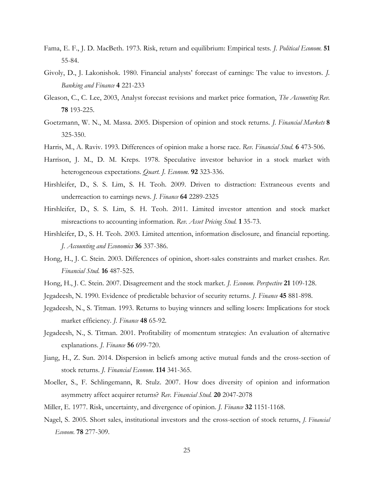- Fama, E. F., J. D. MacBeth. 1973. Risk, return and equilibrium: Empirical tests. *J. Political Econom.* **51** 55-84.
- Givoly, D., J. Lakonishok. 1980. Financial analysts' forecast of earnings: The value to investors. *J. Banking and Finance* **4** 221-233
- Gleason, C., C. Lee, 2003, Analyst forecast revisions and market price formation, *The Accounting Rev.* **78** 193-225.
- Goetzmann, W. N., M. Massa. 2005. Dispersion of opinion and stock returns. *J. Financial Markets* **8** 325-350.
- Harris, M., A. Raviv. 1993. Differences of opinion make a horse race. *Rev. Financial Stud.* **6** 473-506.
- Harrison, J. M., D. M. Kreps. 1978. Speculative investor behavior in a stock market with heterogeneous expectations. *Quart. J. Econom.* **92** 323-336.
- Hirshleifer, D., S. S. Lim, S. H. Teoh. 2009. Driven to distraction: Extraneous events and underreaction to earnings news. *J. Finance* **64** 2289-2325
- Hirshleifer, D., S. S. Lim, S. H. Teoh. 2011. Limited investor attention and stock market misreactions to accounting information. *Rev. Asset Pricing Stud.* **1** 35-73.
- Hirshleifer, D., S. H. Teoh. 2003. Limited attention, information disclosure, and financial reporting. *J. Accounting and Economics* **36** 337-386.
- Hong, H., J. C. Stein. 2003. Differences of opinion, short-sales constraints and market crashes. *Rev. Financial Stud.* **16** 487-525.
- Hong, H., J. C. Stein. 2007. Disagreement and the stock market. *J. Econom. Perspective* **21** 109-128.
- Jegadeesh, N. 1990. Evidence of predictable behavior of security returns. *J. Finance* **45** 881-898.
- Jegadeesh, N., S. Titman. 1993. Returns to buying winners and selling losers: Implications for stock market efficiency. *J. Finance* **48** 65-92.
- Jegadeesh, N., S. Titman. 2001. Profitability of momentum strategies: An evaluation of alternative explanations. *J. Finance* **56** 699-720.
- Jiang, H., Z. Sun. 2014. Dispersion in beliefs among active mutual funds and the cross-section of stock returns. *J. Financial Econom.* **114** 341-365.
- Moeller, S., F. Schlingemann, R. Stulz. 2007. How does diversity of opinion and information asymmetry affect acquirer returns? *Rev. Financial Stud.* **20** 2047-2078
- Miller, E. 1977. Risk, uncertainty, and divergence of opinion. *J. Finance* **32** 1151-1168.
- Nagel, S. 2005. Short sales, institutional investors and the cross-section of stock returns, *J. Financial Econom.* **78** 277-309.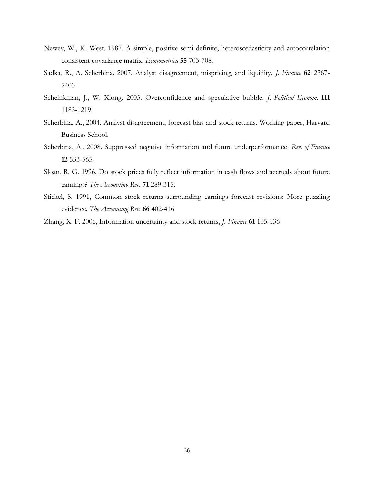- Newey, W., K. West. 1987. A simple, positive semi-definite, heteroscedasticity and autocorrelation consistent covariance matrix. *Econometrica* **55** 703-708.
- Sadka, R., A. Scherbina. 2007. Analyst disagreement, mispricing, and liquidity. *J. Finance* **62** 2367- 2403
- Scheinkman, J., W. Xiong. 2003. Overconfidence and speculative bubble. *J. Political Econom.* **111** 1183-1219.
- Scherbina, A., 2004. Analyst disagreement, forecast bias and stock returns. Working paper, Harvard Business School.
- Scherbina, A., 2008. Suppressed negative information and future underperformance. *Rev. of Finance* **12** 533-565.
- Sloan, R. G. 1996. Do stock prices fully reflect information in cash flows and accruals about future earnings? *The Accounting Rev.* **71** 289-315.
- Stickel, S. 1991, Common stock returns surrounding earnings forecast revisions: More puzzling evidence. *The Accounting Rev.* **66** 402-416
- Zhang, X. F. 2006, Information uncertainty and stock returns, *J. Finance* **61** 105-136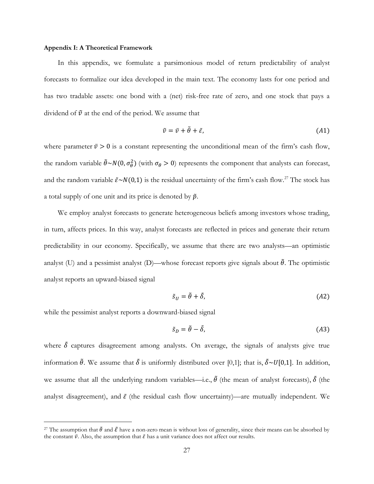# **Appendix I: A Theoretical Framework**

In this appendix, we formulate a parsimonious model of return predictability of analyst forecasts to formalize our idea developed in the main text. The economy lasts for one period and has two tradable assets: one bond with a (net) risk-free rate of zero, and one stock that pays a dividend of  $\tilde{v}$  at the end of the period. We assume that

$$
\tilde{v} = \bar{v} + \tilde{\theta} + \tilde{\varepsilon},\tag{A1}
$$

where parameter  $\bar{v} > 0$  is a constant representing the unconditional mean of the firm's cash flow, the random variable  $\tilde{\theta} \sim N(0, \sigma_{\theta}^2)$  (with  $\sigma_{\theta} > 0$ ) represents the component that analysts can forecast, and the random variable  $\tilde{\varepsilon} \sim N(0,1)$  is the residual uncertainty of the firm's cash flow.<sup>27</sup> The stock has a total supply of one unit and its price is denoted by  $\tilde{p}$ .

We employ analyst forecasts to generate heterogeneous beliefs among investors whose trading, in turn, affects prices. In this way, analyst forecasts are reflected in prices and generate their return predictability in our economy. Specifically, we assume that there are two analysts—an optimistic analyst (U) and a pessimist analyst (D)—whose forecast reports give signals about  $\tilde{\theta}$ . The optimistic analyst reports an upward-biased signal

$$
\tilde{s}_U = \tilde{\theta} + \tilde{\delta},\tag{A2}
$$

while the pessimist analyst reports a downward-biased signal

 $\overline{\phantom{a}}$ 

$$
\tilde{s}_D = \tilde{\theta} - \tilde{\delta},\tag{A3}
$$

where  $\delta$  captures disagreement among analysts. On average, the signals of analysts give true information  $\tilde{\theta}$ . We assume that  $\tilde{\delta}$  is uniformly distributed over [0,1]; that is,  $\tilde{\delta} \sim U[0,1]$ . In addition, we assume that all the underlying random variables—i.e.,  $\tilde{\theta}$  (the mean of analyst forecasts),  $\tilde{\delta}$  (the analyst disagreement), and  $\tilde{\varepsilon}$  (the residual cash flow uncertainty)—are mutually independent. We

<sup>&</sup>lt;sup>27</sup> The assumption that  $\tilde{\theta}$  and  $\tilde{\epsilon}$  have a non-zero mean is without loss of generality, since their means can be absorbed by the constant  $\bar{v}$ . Also, the assumption that  $\tilde{\varepsilon}$  has a unit variance does not affect our results.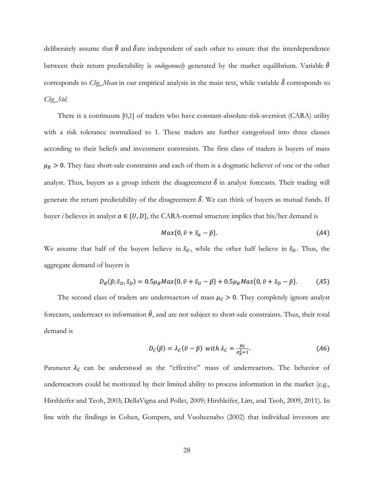deliberately assume that  $\tilde{\theta}$  and  $\tilde{\delta}$ are independent of each other to ensure that the interdependence between their return predictability is *endogenously* generated by the market equilibrium. Variable  $\tilde{\theta}$ corresponds to *Chg\_Mean* in our empirical analysis in the main text, while variable  $\delta$  corresponds to *Chg\_Std.*

There is a continuum [0,1] of traders who have constant-absolute-risk-aversion (CARA) utility with a risk tolerance normalized to 1. These traders are further categorized into three classes according to their beliefs and investment constraints. The first class of traders is buyers of mass  $\mu_B > 0$ . They face short-sale constraints and each of them is a dogmatic believer of one or the other analyst. Thus, buyers as a group inherit the disagreement  $\tilde{\delta}$  in analyst forecasts. Their trading will generate the return predictability of the disagreement  $\delta$ . We can think of buyers as mutual funds. If buyer *i* believes in analyst  $a \in \{U, D\}$ , the CARA-normal structure implies that his/her demand is

$$
Max\{0, \bar{v} + \tilde{s}_a - \tilde{p}\}.
$$
 (A4)

We assume that half of the buyers believe in  $\tilde{s}_U$ , while the other half believe in  $\tilde{s}_D$ . Thus, the aggregate demand of buyers is

$$
D_B(\tilde{p}; \tilde{s}_U, \tilde{s}_D) = 0.5 \mu_B M a x \{0, \bar{v} + \tilde{s}_U - \tilde{p}\} + 0.5 \mu_B M a x \{0, \bar{v} + \tilde{s}_D - \tilde{p}\}.
$$
 (A5)

The second class of traders are underreactors of mass  $\mu_c > 0$ . They completely ignore analyst forecasts, underreact to information  $\tilde{\theta}$ , and are not subject to short-sale constraints. Thus, their total demand is

$$
D_{C}(\tilde{p}) = \lambda_{C}(\bar{v} - \tilde{p}) \text{ with } \lambda_{C} = \frac{\mu_{C}}{\sigma_{\theta}^{2} + 1}.
$$
 (A6)

Parameter  $\lambda_c$  can be understood as the "effective" mass of underreactors. The behavior of underreactors could be motivated by their limited ability to process information in the market (e.g., Hirshleifer and Teoh, 2003; DellaVigna and Pollet, 2009; Hirshleifer, Lim, and Teoh, 2009, 2011). In line with the findings in Cohen, Gompers, and Vuolteenaho (2002) that individual investors are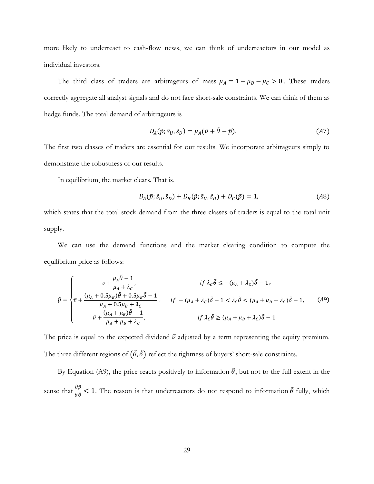more likely to underreact to cash-flow news, we can think of underreactors in our model as individual investors.

The third class of traders are arbitrageurs of mass  $\mu_A = 1 - \mu_B - \mu_C > 0$ . These traders correctly aggregate all analyst signals and do not face short-sale constraints. We can think of them as hedge funds. The total demand of arbitrageurs is

$$
D_A(\tilde{p}; \tilde{s}_U, \tilde{s}_D) = \mu_A(\bar{v} + \tilde{\theta} - \tilde{p}).
$$
\n(A7)

The first two classes of traders are essential for our results. We incorporate arbitrageurs simply to demonstrate the robustness of our results.

In equilibrium, the market clears. That is,

$$
D_A(\tilde{p}; \tilde{s}_U, \tilde{s}_D) + D_B(\tilde{p}; \tilde{s}_U, \tilde{s}_D) + D_C(\tilde{p}) = 1,
$$
\n<sup>(A8)</sup>

which states that the total stock demand from the three classes of traders is equal to the total unit supply.

We can use the demand functions and the market clearing condition to compute the equilibrium price as follows:

$$
\tilde{p} = \begin{cases}\n\tilde{v} + \frac{\mu_A \tilde{\theta} - 1}{\mu_A + \lambda_C}, & \text{if } \lambda_C \tilde{\theta} \le -(\mu_A + \lambda_C) \tilde{\delta} - 1, \\
\tilde{v} + \frac{(\mu_A + 0.5\mu_B)\tilde{\theta} + 0.5\mu_B \tilde{\delta} - 1}{\mu_A + 0.5\mu_B + \lambda_C}, & \text{if } -(\mu_A + \lambda_C) \tilde{\delta} - 1 < \lambda_C \tilde{\theta} < (\mu_A + \mu_B + \lambda_C) \tilde{\delta} - 1, \\
\tilde{v} + \frac{(\mu_A + \mu_B)\tilde{\theta} - 1}{\mu_A + \mu_B + \lambda_C}, & \text{if } \lambda_C \tilde{\theta} \ge (\mu_A + \mu_B + \lambda_C) \tilde{\delta} - 1.\n\end{cases} (A9)
$$

The price is equal to the expected dividend  $\bar{\nu}$  adjusted by a term representing the equity premium. The three different regions of  $(\tilde{\theta}, \tilde{\delta})$  reflect the tightness of buyers' short-sale constraints.

By Equation (A9), the price reacts positively to information  $\tilde{\theta}$ , but not to the full extent in the sense that  $\frac{\partial \tilde{p}}{\partial \tilde{\theta}}$  < 1. The reason is that underreactors do not respond to information  $\tilde{\theta}$  fully, which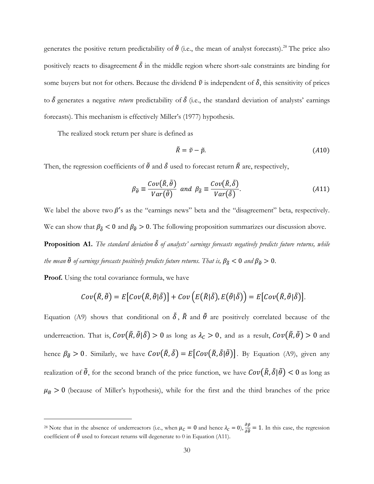generates the positive return predictability of  $\tilde{\theta}$  (i.e., the mean of analyst forecasts).<sup>28</sup> The price also positively reacts to disagreement  $\delta$  in the middle region where short-sale constraints are binding for some buyers but not for others. Because the dividend  $\tilde{v}$  is independent of  $\tilde{\delta}$ , this sensitivity of prices to  $\delta$  generates a negative *return* predictability of  $\delta$  (i.e., the standard deviation of analysts' earnings forecasts). This mechanism is effectively Miller's (1977) hypothesis.

The realized stock return per share is defined as

$$
\tilde{R} = \tilde{v} - \tilde{p}.\tag{A10}
$$

Then, the regression coefficients of  $\tilde{\theta}$  and  $\tilde{\delta}$  used to forecast return  $\tilde{R}$  are, respectively,

$$
\beta_{\tilde{\theta}} \equiv \frac{Cov(\tilde{R}, \tilde{\theta})}{Var(\tilde{\theta})} \text{ and } \beta_{\tilde{\delta}} \equiv \frac{Cov(\tilde{R}, \tilde{\delta})}{Var(\tilde{\delta})}.
$$
\n(A11)

We label the above two  $\beta$ 's as the "earnings news" beta and the "disagreement" beta, respectively. We can show that  $\beta_{\delta} < 0$  and  $\beta_{\theta} > 0$ . The following proposition summarizes our discussion above. **Proposition A1.** *The standard deviation* ̃ *of analysts' earnings forecasts negatively predicts future returns, while the mean*  $\tilde{\theta}$  *of earnings forecasts positively predicts future returns. That is,*  $\beta_{\tilde{\delta}} < 0$  *and*  $\beta_{\tilde{\theta}} > 0$ .

**Proof.** Using the total covariance formula, we have

 $\overline{\phantom{a}}$ 

$$
Cov(\tilde{R},\tilde{\theta})=E\big[Cov(\tilde{R},\tilde{\theta}|\tilde{\delta})\big]+Cov\Big(E(\tilde{R}|\tilde{\delta}),E(\tilde{\theta}|\tilde{\delta})\Big)=E\big[Cov(\tilde{R},\tilde{\theta}|\tilde{\delta})\big].
$$

Equation (A9) shows that conditional on  $\tilde{\delta}$ ,  $\tilde{R}$  and  $\tilde{\theta}$  are positively correlated because of the underreaction. That is,  $Cov(\tilde{R}, \tilde{\theta} | \tilde{\delta}) > 0$  as long as  $\lambda_c > 0$ , and as a result,  $Cov(\tilde{R}, \tilde{\theta}) > 0$  and hence  $\beta_{\tilde{\theta}} > 0$ . Similarly, we have  $Cov(\tilde{R}, \tilde{\delta}) = E[Cov(\tilde{R}, \tilde{\delta} | \tilde{\theta})]$ . By Equation (A9), given any realization of  $\tilde{\theta}$ , for the second branch of the price function, we have  $Cov(\tilde{R}, \tilde{\delta}|\tilde{\theta}) < 0$  as long as  $\mu_B > 0$  (because of Miller's hypothesis), while for the first and the third branches of the price

<sup>&</sup>lt;sup>28</sup> Note that in the absence of underreactors (i.e., when  $\mu_C = 0$  and hence  $\lambda_C = 0$ ),  $\frac{\partial \tilde{p}}{\partial \tilde{\theta}} = 1$ . In this case, the regression coefficient of  $\tilde{\theta}$  used to forecast returns will degenerate to 0 in Equation (A11).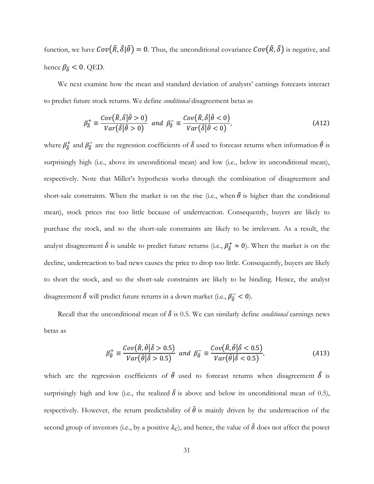function, we have  $Cov(\tilde{R}, \tilde{\delta}|\tilde{\theta}) = 0$ . Thus, the unconditional covariance  $Cov(\tilde{R}, \tilde{\delta})$  is negative, and hence  $\beta_{\tilde{\delta}} < 0$ . QED.

We next examine how the mean and standard deviation of analysts' earnings forecasts interact to predict future stock returns. We define *conditional* disagreement betas as

$$
\beta_{\delta}^{+} \equiv \frac{Cov(\tilde{R}, \tilde{\delta} | \tilde{\theta} > 0)}{Var(\tilde{\delta} | \tilde{\theta} > 0)} \quad \text{and} \quad \beta_{\delta}^{-} \equiv \frac{Cov(\tilde{R}, \tilde{\delta} | \tilde{\theta} < 0)}{Var(\tilde{\delta} | \tilde{\theta} < 0)},\tag{A12}
$$

where  $\beta^+_{\delta}$  and  $\beta^-_{\delta}$  are the regression coefficients of  $\tilde{\delta}$  used to forecast returns when information  $\tilde{\theta}$  is surprisingly high (i.e., above its unconditional mean) and low (i.e., below its unconditional mean), respectively. Note that Miller's hypothesis works through the combination of disagreement and short-sale constraints. When the market is on the rise (i.e., when  $\tilde{\theta}$  is higher than the conditional mean), stock prices rise too little because of underreaction. Consequently, buyers are likely to purchase the stock, and so the short-sale constraints are likely to be irrelevant. As a result, the analyst disagreement  $\delta$  is unable to predict future returns (i.e.,  $\beta_{\delta}^{+} \approx 0$ ). When the market is on the decline, underreaction to bad news causes the price to drop too little. Consequently, buyers are likely to short the stock, and so the short-sale constraints are likely to be binding. Hence, the analyst disagreement  $\tilde{\delta}$  will predict future returns in a down market (i.e.,  $\beta_{\tilde{\delta}}^- < 0$ ).

Recall that the unconditional mean of  $\delta$  is 0.5. We can similarly define *conditional* earnings news betas as

$$
\beta_{\tilde{\theta}}^{+} \equiv \frac{Cov(\tilde{R}, \tilde{\theta} | \tilde{\delta} > 0.5)}{Var(\tilde{\theta} | \tilde{\delta} > 0.5)} \quad \text{and} \quad \beta_{\tilde{\theta}}^{-} \equiv \frac{Cov(\tilde{R}, \tilde{\theta} | \tilde{\delta} < 0.5)}{Var(\tilde{\theta} | \tilde{\delta} < 0.5)},\tag{A13}
$$

which are the regression coefficients of  $\tilde{\theta}$  used to forecast returns when disagreement  $\tilde{\delta}$  is surprisingly high and low (i.e., the realized  $\delta$  is above and below its unconditional mean of 0.5), respectively. However, the return predictability of  $\tilde{\theta}$  is mainly driven by the underreaction of the second group of investors (i.e., by a positive  $\lambda_c$ ), and hence, the value of  $\tilde{\delta}$  does not affect the power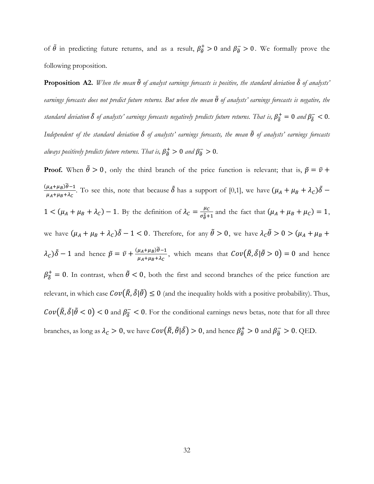of  $\tilde{\theta}$  in predicting future returns, and as a result,  $\beta_{\tilde{\theta}}^+ > 0$  and  $\beta_{\tilde{\theta}}^- > 0$ . We formally prove the following proposition.

**Proposition A2.** *When the mean*  $\tilde{\theta}$  *of analyst earnings forecasts is positive, the standard deviation*  $\tilde{\delta}$  *of analysts' earnings forecasts does not predict future returns. But when the mean* ̃ *of analysts' earnings forecasts is negative, the standard deviation*  $\tilde{\delta}$  *of analysts' earnings forecasts negatively predicts future returns. That is,*  $\beta_{\tilde{\delta}}^+=0$  *and*  $\beta_{\tilde{\delta}}^-<0$ *. Independent of the standard deviation* ̃ *of analysts' earnings forecasts, the mean* ̃ *of analysts' earnings forecasts always positively predicts future returns. That is,*  $\beta_{\tilde{\theta}}^{+} > 0$  and  $\beta_{\tilde{\theta}}^{-} > 0$ .

**Proof.** When  $\tilde{\theta} > 0$ , only the third branch of the price function is relevant; that is,  $\tilde{p} = \bar{v} + \theta$  $(\mu_A+\mu_B)\widetilde{\theta}-1$  $\frac{\mu_A+\mu_B)\theta-1}{\mu_A+\mu_B+\lambda_C}$ . To see this, note that because  $\tilde{\delta}$  has a support of [0,1], we have  $(\mu_A+\mu_B+\lambda_C)\tilde{\delta}$  –  $1 < (\mu_A + \mu_B + \lambda_C) - 1$ . By the definition of  $\lambda_C = \frac{\mu_C}{\sigma^2 + \lambda_C}$  $\frac{\mu_c}{\sigma_\theta^2 + 1}$  and the fact that  $(\mu_A + \mu_B + \mu_C) = 1$ , we have  $(\mu_A + \mu_B + \lambda_C)\tilde{\delta} - 1 < 0$ . Therefore, for any  $\tilde{\theta} > 0$ , we have  $\lambda_C \tilde{\theta} > 0 > (\mu_A + \mu_B + \lambda_C)\tilde{\delta} - 1 < 0$ .  $(\lambda_c)\tilde{\delta} - 1$  and hence  $\tilde{p} = \bar{v} + \frac{(\mu_A + \mu_B)\tilde{\theta} - 1}{\mu_A + \mu_B + \lambda_C}$  $\frac{\mu_A + \mu_B)\theta - 1}{\mu_A + \mu_B + \lambda_C}$ , which means that  $Cov(\tilde{R}, \tilde{\delta} | \tilde{\theta} > 0) = 0$  and hence  $\beta_{\bar{\delta}}^+ = 0$ . In contrast, when  $\tilde{\theta} < 0$ , both the first and second branches of the price function are relevant, in which case  $Cov(\tilde{R}, \tilde{\delta}|\tilde{\theta}) \leq 0$  (and the inequality holds with a positive probability). Thus,  $Cov(\tilde{R}, \tilde{\delta} | \tilde{\theta} < 0) < 0$  and  $\beta_{\tilde{\delta}} < 0$ . For the conditional earnings news betas, note that for all three branches, as long as  $\lambda_c > 0$ , we have  $Cov(\tilde{R}, \tilde{\theta} | \tilde{\delta}) > 0$ , and hence  $\beta_{\tilde{\theta}}^+ > 0$  and  $\beta_{\tilde{\theta}}^- > 0$ . QED.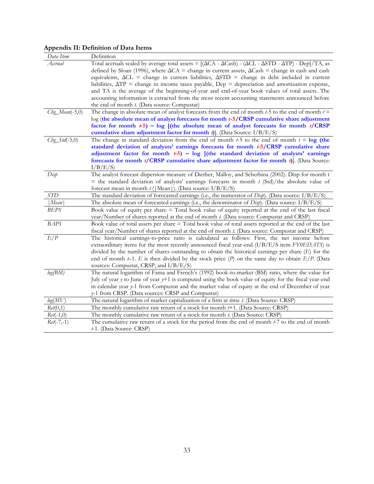# **Appendix II: Definition of Data Items**

| Data Item       | Definition                                                                                                                                                                                                     |
|-----------------|----------------------------------------------------------------------------------------------------------------------------------------------------------------------------------------------------------------|
| Accrual         | Total accruals scaled by average total assets = $[(\Delta CA - \Delta Cash) - (\Delta CL - \Delta STD - \Delta TP) - Dep]/TA$ , as                                                                             |
|                 | defined by Sloan (1996), where $\Delta CA$ = change in current assets, $\Delta Cash$ = change in cash and cash                                                                                                 |
|                 | equivalents, $\Delta CL$ = change in current liabilities, $\Delta STD$ = change in debt included in current                                                                                                    |
|                 | liabilities, $\Delta TP$ = change in income taxes payable, $Dep = depreciation$ and amortization expense,                                                                                                      |
|                 | and TA is the average of the beginning-of-year and end-of-year book values of total assets. The                                                                                                                |
|                 | accounting information is extracted from the most recent accounting statements announced before                                                                                                                |
|                 | the end of month <i>t</i> . (Data source: Compustat)                                                                                                                                                           |
| Chg_Mean(-5,0)  | The change in absolute mean of analyst forecasts from the end of month $t-5$ to the end of month $t =$                                                                                                         |
|                 | log (the absolute mean of analyst forecasts for month t-5/CRSP cumulative share adjustment                                                                                                                     |
|                 | factor for month $t-5$ ) – log [(the absolute mean of analyst forecasts for month $t/CRSP$                                                                                                                     |
|                 | cumulative share adjustment factor for month $t$ ). (Data Source: $I/B/E/S$ )                                                                                                                                  |
| $Chg_Std(-5,0)$ | The change in standard deviation from the end of month $t-5$ to the end of month $t = \log$ (the<br>standard deviation of analysts' earnings forecasts for month t-5/CRSP cumulative share                     |
|                 | adjustment factor for month $t-5$ ) - log [(the standard deviation of analysts' earnings                                                                                                                       |
|                 | forecasts for month $t/CRSP$ cumulative share adjustment factor for month $t$ ). (Data Source:                                                                                                                 |
|                 | I/B/E/S                                                                                                                                                                                                        |
| Disp            | The analyst forecast dispersion measure of Diether, Malloy, and Scherbina (2002). Disp for month t                                                                                                             |
|                 | = the standard deviation of analysts' earnings forecasts in month $t$ (Std)/the absolute value of                                                                                                              |
|                 | forecast mean in month $t$ ( Mean ). (Data source: I/B/E/S)                                                                                                                                                    |
| <b>STD</b>      | The standard deviation of forecasted earnings (i.e., the numerator of $Dixp$ ). (Data source: $I/B/E/S$ )                                                                                                      |
| Mean            | The absolute mean of forecasted earnings (i.e., the denominator of Disp). (Data source: I/B/E/S)                                                                                                               |
| BEPS            | Book value of equity per share = Total book value of equity reported at the end of the last fiscal                                                                                                             |
|                 | year/Number of shares reported at the end of month t. (Data source: Compustat and CRSP)                                                                                                                        |
| <b>BAPS</b>     | Book value of total assets per share = Total book value of total assets reported at the end of the last                                                                                                        |
|                 | fiscal year/Number of shares reported at the end of month t. (Data source: Compustat and CRSP)                                                                                                                 |
| E/P             | The historical earnings-to-price ratio is calculated as follows: First, the net income before                                                                                                                  |
|                 | extraordinary items for the most recently announced fiscal year-end $(I/B/E/S$ item $FY0EDATS$ is                                                                                                              |
|                 | divided by the number of shares outstanding to obtain the historical earnings per share $(E)$ for the<br>end of month $t-1$ . E is then divided by the stock price (P) on the same day to obtain $E/P$ . (Data |
|                 | sources: Compustat, CRSP, and I/B/E/S)                                                                                                                                                                         |
| log(BM)         | The natural logarithm of Fama and French's (1992) book-to-market (BM) ratio, where the value for                                                                                                               |
|                 | July of year $y$ to June of year $y+1$ is computed using the book value of equity for the fiscal year-end                                                                                                      |
|                 | in calendar year y-1 from Compustat and the market value of equity at the end of December of year                                                                                                              |
|                 | y-1 from CRSP. (Data sources: CRSP and Compustat)                                                                                                                                                              |
| log(MV)         | The natural logarithm of market capitalization of a firm at time t. (Data Source: CRSP)                                                                                                                        |
| Ret(0,1)        | The monthly cumulative raw return of a stock for month $t+1$ . (Data Source: CRSP)                                                                                                                             |
| $Ret(-1,0)$     | The monthly cumulative raw return of a stock for month t. (Data Source: CRSP)                                                                                                                                  |
| $Ret(-7,-1)$    | The cumulative raw return of a stock for the period from the end of month $t$ -7 to the end of month                                                                                                           |
|                 | t-1. (Data Source: CRSP)                                                                                                                                                                                       |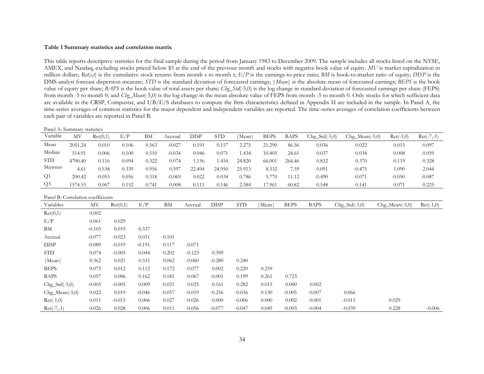#### **Table 1 Summary statistics and correlation matrix**

This table reports descriptive statistics for the final sample during the period from January 1983 to December 2009. The sample includes all stocks listed on the NYSE, AMEX, and Nasdaq, excluding stocks priced below \$5 at the end of the previous month and stocks with negative book value of equity.  $MV$  is market capitalization in million dollars;  $Ret(s,t)$  is the cumulative stock returns from month s to month t;  $E/P$  is the earnings-to-price ratio; *BM* is book-to-market ratio of equity; *DISP* is the DMS analyst forecast dispersion measure; *STD* is the standard deviation of forecasted earnings; |*Mean*| is the absolute mean of forecasted earnings; *BEPS* is the book value of equity per share; *BAPS* is the book value of total assets per share; *Chg\_Std*(-5,0) is the log change in standard deviation of forecasted earnings per share (FEPS) from month -5 to month 0; and *Chg\_Mean*(-5,0) is the log change in the mean absolute value of FEPS from month -5 to month 0. Only stocks for which sufficient data are available in the CRSP, Compustat, and I/B/E/S databases to compute the firm characteristics defined in Appendix II are included in the sample. In Panel A, the time-series averages of common statistics for the major dependent and independent variables are reported. The time-series averages of correlation coefficients between each pair of variables are reported in Panel B.

| Panel A: Summary statistics |         |          |       |       |          |        |            |        |             |             |                 |                  |             |              |
|-----------------------------|---------|----------|-------|-------|----------|--------|------------|--------|-------------|-------------|-----------------|------------------|-------------|--------------|
| Variable                    | МV      | Ret(0,1) | E/P   | BM    | Accrual  | DISP   | <b>STD</b> | Mean   | <b>BEPS</b> | <b>BAPS</b> | $Chg_Std(-5,0)$ | $Chg_Mean(-5,0)$ | $Ret(-1,0)$ | $Ret(-7,-1)$ |
| Mean                        | 2051.24 | 0.010    | 0.106 | 0.563 | $-0.027$ | 0.191  | 0.157      | 2.275  | 21.290      | 86.56       | 0.036           | 0.022            | 0.015       | 0.097        |
| Median                      | 514.91  | 0.006    | 0.100 | 0.510 | $-0.034$ | 0.046  | 0.071      | .434   | 10.405      | 24.61       | 0.037           | 0.034            | 0.008       | 0.059        |
| <b>STD</b>                  | 4700.40 | 0.116    | 0.094 | 0.322 | 0.074    | .156   | .454       | 24.820 | 66.001      | 264.46      | 0.832           | 0.370            | 0.119       | 0.328        |
| Skewnes                     | 4.61    | 0.538    | 0.339 | 0.956 | 0.597    | 22.494 | 24.950     | 25.913 | 8.332       | 7.59        | 0.091           | $-0.475$         | 1.090       | 2.044        |
| Q <sub>1</sub>              | 200.42  | $-0.053$ | 0.056 | 0.318 | $-0.069$ | 0.022  | 0.034      | 0.786  | 5.770       | 11.12       | $-0.490$        | $-0.071$         | $-0.050$    | $-0.087$     |
| Q <sub>3</sub>              | 1574.53 | 0.067    | 0.152 | 0.741 | 0.008    | 0.111  | 0.146      | 2.384  | 17.961      | 60.82       | 0.548           | 0.141            | 0.071       | 0.225        |

Panel B: Correlation coefficients

| Variables        | MV       | Ret(0,1) | E/P      | ΒM       | Accrual  | <b>DISP</b> | <b>STD</b> | Mean  | <b>BEPS</b> | <b>BAPS</b> | $Chg_Std(-5,0)$ | $Chg_Mean(-5,0)$ | $Ret(-1,0)$ |
|------------------|----------|----------|----------|----------|----------|-------------|------------|-------|-------------|-------------|-----------------|------------------|-------------|
| Ret(0,1)         | 0.002    |          |          |          |          |             |            |       |             |             |                 |                  |             |
| E/P              | 0.061    | 0.029    |          |          |          |             |            |       |             |             |                 |                  |             |
| BM               | $-0.103$ | 0.019    | 0.337    |          |          |             |            |       |             |             |                 |                  |             |
| Accrual          | $-0.077$ | $-0.023$ | 0.031    | $-0.101$ |          |             |            |       |             |             |                 |                  |             |
| <b>DISP</b>      | $-0.089$ | $-0.019$ | $-0.191$ | 0.117    | $-0.071$ |             |            |       |             |             |                 |                  |             |
| <b>STD</b>       | 0.074    | $-0.005$ | 0.044    | 0.202    | $-0.123$ | 0.399       |            |       |             |             |                 |                  |             |
| Mean             | 0.362    | 0.021    | 0.331    | 0.062    | $-0.060$ | $-0.280$    | 0.240      |       |             |             |                 |                  |             |
| <b>BEPS</b>      | 0.075    | 0.012    | 0.112    | 0.172    | $-0.077$ | 0.002       | 0.220      | 0.259 |             |             |                 |                  |             |
| <b>BAPS</b>      | 0.057    | 0.006    | 0.162    | 0.181    | $-0.067$ | $-0.001$    | 0.199      | 0.261 | 0.723       |             |                 |                  |             |
| $Chg_Std(-5,0)$  | $-0.005$ | $-0.005$ | 0.009    | $-0.021$ | 0.025    | 0.161       | 0.282      | 0.015 | 0.000       | 0.002       |                 |                  |             |
| $Chg_Mean(-5,0)$ | 0.022    | 0.019    | $-0.046$ | $-0.057$ | $-0.019$ | $-0.256$    | $-0.036$   | 0.130 | $-0.005$    | $-0.007$    | 0.066           |                  |             |
| $Ret(-1,0)$      | 0.011    | $-0.015$ | 0.006    | 0.027    | $-0.026$ | 0.000       | $-0.006$   | 0.000 | 0.002       | $-0.001$    | $-0.011$        | 0.029            |             |
| $Ret(-7,-1)$     | 0.026    | 0.028    | 0.006    | 0.011    | $-0.056$ | $-0.077$    | $-0.047$   | 0.045 | $-0.003$    | $-0.004$    | $-0.039$        | 0.228            | $-0.006$    |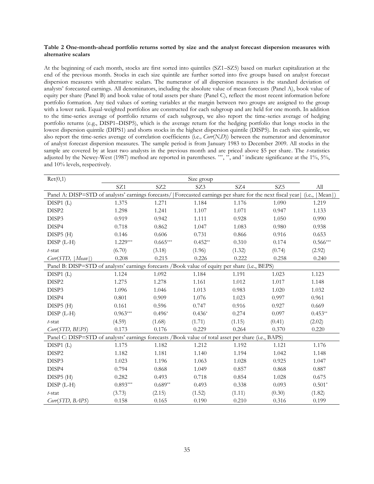#### **Table 2 One-month-ahead portfolio returns sorted by size and the analyst forecast dispersion measures with alternative scalars**

At the beginning of each month, stocks are first sorted into quintiles (SZ1–SZ5) based on market capitalization at the end of the previous month. Stocks in each size quintile are further sorted into five groups based on analyst forecast dispersion measures with alternative scalars. The numerator of all dispersion measures is the standard deviation of analysts' forecasted earnings. All denominators, including the absolute value of mean forecasts (Panel A), book value of equity per share (Panel B) and book value of total assets per share (Panel C), reflect the most recent information before portfolio formation. Any tied values of sorting variables at the margin between two groups are assigned to the group with a lower rank. Equal-weighted portfolios are constructed for each subgroup and are held for one month. In addition to the time-series average of portfolio returns of each subgroup, we also report the time-series average of hedging portfolio returns (e.g., DISP1–DISP5), which is the average return for the hedging portfolio that longs stocks in the lowest dispersion quintile (DIPS1) and shorts stocks in the highest dispersion quintile (DISP5). In each size quintile, we also report the time-series average of correlation coefficients (i.e.*, Corr*(*N,D*)) between the numerator and denominator of analyst forecast dispersion measures. The sample period is from January 1983 to December 2009. All stocks in the sample are covered by at least two analysts in the previous month and are priced above \$5 per share. The *t*-statistics adjusted by the Newey-West (1987) method are reported in parentheses. \*\*\*, \*\*, and \* indicate significance at the 1%, 5%, and 10% levels, respectively.

| Ret(0,1)                                                                                            |            |                 |           |        |                                                                         |                             |
|-----------------------------------------------------------------------------------------------------|------------|-----------------|-----------|--------|-------------------------------------------------------------------------|-----------------------------|
|                                                                                                     | SZ1        | SZ <sub>2</sub> | SZ3       | SZ4    | SZ <sub>5</sub>                                                         | $\mathop{\rm All}\nolimits$ |
| Panel A: DISP=STD of analysts' earnings forecasts/                                                  |            |                 |           |        | [Forecasted earnings per share for the next fiscal year] (i.e., [Mean]) |                             |
| DISP1 (L)                                                                                           | 1.375      | 1.271           | 1.184     | 1.176  | 1.090                                                                   | 1.219                       |
| DISP2                                                                                               | 1.298      | 1.241           | 1.107     | 1.071  | 0.947                                                                   | 1.133                       |
| DISP3                                                                                               | 0.919      | 0.942           | 1.111     | 0.928  | 1.050                                                                   | 0.990                       |
| DISP4                                                                                               | 0.718      | 0.862           | 1.047     | 1.083  | 0.980                                                                   | 0.938                       |
| DISP5(H)                                                                                            | 0.146      | 0.606           | 0.731     | 0.866  | 0.916                                                                   | 0.653                       |
| DISP (L-H)                                                                                          | $1.229***$ | $0.665***$      | $0.452**$ | 0.310  | 0.174                                                                   | $0.566***$                  |
| $t$ -stat                                                                                           | (6.70)     | (3.18)          | (1.96)    | (1.32) | (0.74)                                                                  | (2.92)                      |
| Corr(STD,  Mean )                                                                                   | 0.208      | 0.215           | 0.226     | 0.222  | 0.258                                                                   | 0.240                       |
| Panel B: DISP=STD of analysts' earnings forecasts /Book value of equity per share (i.e., BEPS)      |            |                 |           |        |                                                                         |                             |
| DISP1 (L)                                                                                           | 1.124      | 1.092           | 1.184     | 1.191  | 1.023                                                                   | 1.123                       |
| DISP2                                                                                               | 1.275      | 1.278           | 1.161     | 1.012  | 1.017                                                                   | 1.148                       |
| DISP3                                                                                               | 1.096      | 1.046           | 1.013     | 0.983  | 1.020                                                                   | 1.032                       |
| DISP4                                                                                               | 0.801      | 0.909           | 1.076     | 1.023  | 0.997                                                                   | 0.961                       |
| DISP5(H)                                                                                            | 0.161      | 0.596           | 0.747     | 0.916  | 0.927                                                                   | 0.669                       |
| $DISP (L-H)$                                                                                        | $0.963***$ | $0.496*$        | $0.436*$  | 0.274  | 0.097                                                                   | $0.453**$                   |
| t-stat                                                                                              | (4.59)     | (1.68)          | (1.71)    | (1.15) | (0.41)                                                                  | (2.02)                      |
| Corr(STD, BEPS)                                                                                     | 0.173      | 0.176           | 0.229     | 0.264  | 0.370                                                                   | 0.220                       |
| Panel C: DISP=STD of analysts' earnings forecasts /Book value of total asset per share (i.e., BAPS) |            |                 |           |        |                                                                         |                             |
| DISP1(L)                                                                                            | 1.175      | 1.182           | 1.212     | 1.192  | 1.121                                                                   | 1.176                       |
| DISP2                                                                                               | 1.182      | 1.181           | 1.140     | 1.194  | 1.042                                                                   | 1.148                       |
| DISP3                                                                                               | 1.023      | 1.196           | 1.063     | 1.028  | 0.925                                                                   | 1.047                       |
| DISP4                                                                                               | 0.794      | 0.868           | 1.049     | 0.857  | 0.868                                                                   | 0.887                       |
| DISP5(H)                                                                                            | 0.282      | 0.493           | 0.718     | 0.854  | 1.028                                                                   | 0.675                       |
| $DISP (L-H)$                                                                                        | $0.893***$ | $0.689**$       | 0.493     | 0.338  | 0.093                                                                   | $0.501*$                    |
| t-stat                                                                                              | (3.73)     | (2.15)          | (1.52)    | (1.11) | (0.30)                                                                  | (1.82)                      |
| Corr(STD, BAPS)                                                                                     | 0.158      | 0.165           | 0.190     | 0.210  | 0.316                                                                   | 0.199                       |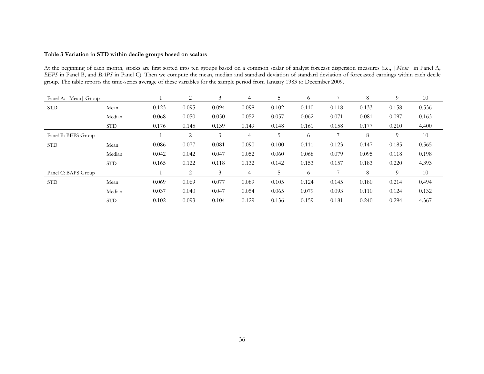#### **Table 3 Variation in STD within decile groups based on scalars**

At the beginning of each month, stocks are first sorted into ten groups based on a common scalar of analyst forecast dispersion measures (i.e., |*Mean*| in Panel A, *BEPS* in Panel B, and *BAPS* in Panel C). Then we compute the mean, median and standard deviation of standard deviation of forecasted earnings within each decile group. The table reports the time-series average of these variables for the sample period from January 1983 to December 2009.

| Panel A:   Mean  Group |            |       | 2     | 3     | 4             | 5     | 6       |       | 8     | 9     | 10    |
|------------------------|------------|-------|-------|-------|---------------|-------|---------|-------|-------|-------|-------|
| <b>STD</b>             | Mean       | 0.123 | 0.095 | 0.094 | 0.098         | 0.102 | 0.110   | 0.118 | 0.133 | 0.158 | 0.536 |
|                        | Median     | 0.068 | 0.050 | 0.050 | 0.052         | 0.057 | 0.062   | 0.071 | 0.081 | 0.097 | 0.163 |
|                        | <b>STD</b> | 0.176 | 0.145 | 0.139 | 0.149         | 0.148 | 0.161   | 0.158 | 0.177 | 0.210 | 4.400 |
| Panel B: BEPS Group    |            | 2     | 3     | 4     | $\mathcal{D}$ | 6     |         | 8     | 9     | 10    |       |
| <b>STD</b>             | Mean       | 0.086 | 0.077 | 0.081 | 0.090         | 0.100 | 0.111   | 0.123 | 0.147 | 0.185 | 0.565 |
|                        | Median     | 0.042 | 0.042 | 0.047 | 0.052         | 0.060 | 0.068   | 0.079 | 0.095 | 0.118 | 0.198 |
|                        | STD.       | 0.165 | 0.122 | 0.118 | 0.132         | 0.142 | 0.153   | 0.157 | 0.183 | 0.220 | 4.393 |
| Panel C: BAPS Group    |            |       | 2     | 3     | 4             | 5.    | $\circ$ |       | 8     | 9     | 10    |
| <b>STD</b>             | Mean       | 0.069 | 0.069 | 0.077 | 0.089         | 0.105 | 0.124   | 0.145 | 0.180 | 0.214 | 0.494 |
|                        | Median     | 0.037 | 0.040 | 0.047 | 0.054         | 0.065 | 0.079   | 0.093 | 0.110 | 0.124 | 0.132 |
|                        | <b>STD</b> | 0.102 | 0.093 | 0.104 | 0.129         | 0.136 | 0.159   | 0.181 | 0.240 | 0.294 | 4.367 |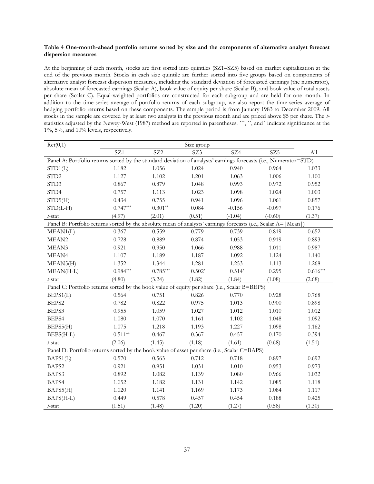#### **Table 4 One-month-ahead portfolio returns sorted by size and the components of alternative analyst forecast dispersion measures**

At the beginning of each month, stocks are first sorted into quintiles (SZ1–SZ5) based on market capitalization at the end of the previous month. Stocks in each size quintile are further sorted into five groups based on components of alternative analyst forecast dispersion measures, including the standard deviation of forecasted earnings (the numerator), absolute mean of forecasted earnings (Scalar A), book value of equity per share (Scalar B), and book value of total assets per share (Scalar C). Equal-weighted portfolios are constructed for each subgroup and are held for one month. In addition to the time-series average of portfolio returns of each subgroup, we also report the time-series average of hedging portfolio returns based on these components. The sample period is from January 1983 to December 2009. All stocks in the sample are covered by at least two analysts in the previous month and are priced above \$5 per share. The *t*statistics adjusted by the Newey-West (1987) method are reported in parentheses. \*\*\*, \*\*, and \* indicate significance at the 1%, 5%, and 10% levels, respectively.

| Ret(0,1)                                                                                                          |            |                 | Size group |           |                 |            |
|-------------------------------------------------------------------------------------------------------------------|------------|-----------------|------------|-----------|-----------------|------------|
|                                                                                                                   | SZ1        | SZ <sub>2</sub> | SZ3        | SZ4       | SZ <sub>5</sub> | All        |
| Panel A: Portfolio returns sorted by the standard deviation of analysts' earnings forecasts (i.e., Numerator=STD) |            |                 |            |           |                 |            |
| STD1(L)                                                                                                           | 1.182      | 1.056           | 1.024      | 0.940     | 0.964           | 1.033      |
| STD <sub>2</sub>                                                                                                  | 1.127      | 1.102           | 1.201      | 1.063     | 1.006           | 1.100      |
| STD3                                                                                                              | 0.867      | 0.879           | 1.048      | 0.993     | 0.972           | 0.952      |
| STD4                                                                                                              | 0.757      | 1.113           | 1.023      | 1.098     | 1.024           | 1.003      |
| STD5(H)                                                                                                           | 0.434      | 0.755           | 0.941      | 1.096     | 1.061           | 0.857      |
| $STD(L-H)$                                                                                                        | $0.747***$ | $0.301**$       | 0.084      | $-0.156$  | $-0.097$        | 0.176      |
| t-stat                                                                                                            | (4.97)     | (2.01)          | (0.51)     | $(-1.04)$ | $(-0.60)$       | (1.37)     |
| Panel B: Portfolio returns sorted by the absolute mean of analysts' earnings forecasts (i.e., Scalar A= Mean )    |            |                 |            |           |                 |            |
| MEAN1(L)                                                                                                          | 0.367      | 0.559           | 0.779      | 0.739     | 0.819           | 0.652      |
| MEAN <sub>2</sub>                                                                                                 | 0.728      | 0.889           | 0.874      | 1.053     | 0.919           | 0.893      |
| MEAN3                                                                                                             | 0.921      | 0.950           | 1.066      | 0.988     | 1.011           | 0.987      |
| MEAN4                                                                                                             | 1.107      | 1.189           | 1.187      | 1.092     | 1.124           | 1.140      |
| MEAN5(H)                                                                                                          | 1.352      | 1.344           | 1.281      | 1.253     | 1.113           | 1.268      |
| $MEAN(H-L)$                                                                                                       | $0.984***$ | $0.785***$      | $0.502*$   | $0.514*$  | 0.295           | $0.616***$ |
| t-stat                                                                                                            | (4.80)     | (3.24)          | (1.82)     | (1.84)    | (1.08)          | (2.68)     |
| Panel C: Portfolio returns sorted by the book value of equity per share (i.e., Scalar B=BEPS)                     |            |                 |            |           |                 |            |
| BEPS1(L)                                                                                                          | 0.564      | 0.751           | 0.826      | 0.770     | 0.928           | 0.768      |
| BEPS2                                                                                                             | 0.782      | 0.822           | 0.975      | 1.013     | 0.900           | 0.898      |
| BEPS3                                                                                                             | 0.955      | 1.059           | 1.027      | 1.012     | 1.010           | 1.012      |
| BEPS4                                                                                                             | 1.080      | 1.070           | 1.161      | 1.102     | 1.048           | 1.092      |
| BEPS5(H)                                                                                                          | 1.075      | 1.218           | 1.193      | 1.227     | 1.098           | 1.162      |
| BEPS(H-L)                                                                                                         | $0.511**$  | 0.467           | 0.367      | 0.457     | 0.170           | 0.394      |
| $t$ -stat                                                                                                         | (2.06)     | (1.45)          | (1.18)     | (1.61)    | (0.68)          | (1.51)     |
| Panel D: Portfolio returns sorted by the book value of asset per share (i.e., Scalar C=BAPS)                      |            |                 |            |           |                 |            |
| BAPS1(L)                                                                                                          | 0.570      | 0.563           | 0.712      | 0.718     | 0.897           | 0.692      |
| BAPS2                                                                                                             | 0.921      | 0.951           | 1.031      | 1.010     | 0.953           | 0.973      |
| BAPS3                                                                                                             | 0.892      | 1.082           | 1.139      | 1.080     | 0.966           | 1.032      |
| BAPS4                                                                                                             | 1.052      | 1.182           | 1.131      | 1.142     | 1.085           | 1.118      |
| BAPS5(H)                                                                                                          | 1.020      | 1.141           | 1.169      | 1.173     | 1.084           | 1.117      |
| BAPS(H-L)                                                                                                         | 0.449      | 0.578           | 0.457      | 0.454     | 0.188           | 0.425      |
| $t$ -stat                                                                                                         | (1.51)     | (1.48)          | (1.20)     | (1.27)    | (0.58)          | (1.30)     |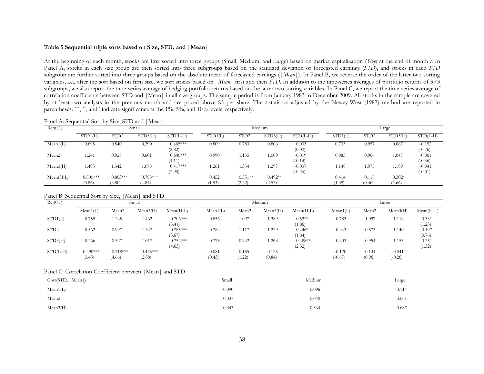#### **Table 5 Sequential triple sorts based on Size, STD, and |Mean|**

At the beginning of each month, stocks are first sorted into three groups (Small, Medium, and Large) based on market capitalization (*Size*) at the end of month *t*. In Panel A, stocks in each size group are then sorted into three subgroups based on the standard deviation of forecasted earnings (*STD*), and stocks in each *STD* subgroup are further sorted into three groups based on the absolute mean of forecasted earnings (*|Mean*|). In Panel B, we reverse the order of the latter two sorting variables, i.e., after the sort based on firm size, we sort stocks based on *|Mean*| first and then *STD*. In addition to the time-series averages of portfolio returns of 3×3 subgroups, we also report the time-series average of hedging portfolio returns based on the latter two sorting variables. In Panel C, we report the time-series average of correlation coefficients between STD and |Mean| in all size groups. The sample period is from January 1983 to December 2009. All stocks in the sample are covered by at least two analysts in the previous month and are priced above \$5 per share. The *t*-statistics adjusted by the Newey-West (1987) method are reported in parentheses. \*\*\*, \*\*, and \* indicate significance at the 1%, 5%, and 10% levels, respectively.

Panel A: Sequential Sort by Size, STD and |Mean|

| Ret(0,1)          |                      |                      | Small                |                      |                 |                     | Medium              |                       | Large           |                  |                    |                       |
|-------------------|----------------------|----------------------|----------------------|----------------------|-----------------|---------------------|---------------------|-----------------------|-----------------|------------------|--------------------|-----------------------|
|                   | STD1(L)              | STD <sub>2</sub>     | STD3(H)              | $STD(L-H)$           | STD1(L)         | STD <sub>2</sub>    | STD3(H)             | $STD(L-H)$            | STD1(L)         | STD <sub>2</sub> | STD3(H)            | $STD(L-H)$            |
| Mean1(L)          | 0.695                | 0.540                | 0.290                | $0.405***$<br>(2.82) | 0.809           | 0.783               | 0.806               | 0.003<br>(0.02)       | 0.735           | 0.957            | 0.887              | $-0.152$<br>$(-0.76)$ |
| Mean <sub>2</sub> | 1.241                | 0.928                | 0.601                | $0.640***$<br>(4.11) | 0.990           | 1.135               | 1.009               | $-0.019$<br>$(-0.14)$ | 0.985           | 0.966            | 1.047              | $-0.061$<br>$(-0.46)$ |
| Mean3(H)          | 1.495                | 1.342                | 1.078                | $0.417***$<br>(2.90) | 1.261           | 1.334               | 1.297               | $-0.037$<br>$(-0.26)$ | 1.148           | 1.075            | 1.189              | $-0.041$<br>$(-0.31)$ |
| $Mean(H-L)$       | $0.800***$<br>(3.86) | $0.803***$<br>(3.80) | $0.788***$<br>(4.84) |                      | 0.452<br>(1.53) | $0.551**$<br>(2.22) | $0.492**$<br>(2.53) |                       | 0.414<br>(1.39) | 0.118<br>(0.46)  | $0.302*$<br>(1.66) |                       |

Panel B: Sequential Sort by Size, |Mean| and STD

| Ret(0,1)         |                      |                      | Small                |                      |                 |                   | Medium          |                     |                       | Large             |                       |                 |  |
|------------------|----------------------|----------------------|----------------------|----------------------|-----------------|-------------------|-----------------|---------------------|-----------------------|-------------------|-----------------------|-----------------|--|
|                  | Mean1(L)             | Mean <sub>2</sub>    | Mean3(H)             | $Mean(H-L)$          | Mean1(L)        | Mean <sub>2</sub> | Mean3(H)        | $Mean(H-L)$         | Mean1(L)              | Mean <sub>2</sub> | Mean3(H)              | $Mean(H-L)$     |  |
| STD1(L)          | 0.755                | 1.245                | 1.462                | $0.706***$<br>(3.41) | 0.856           | 1.097             | 1.389           | $0.532*$<br>(1.86)  | 0.783                 | . 097             | 1.114                 | 0.331<br>(1.23) |  |
| STD <sub>2</sub> | 0.562                | 0.997                | 1.347                | $0.785***$<br>(3.67) | 0.784           | 1.117             | 1.229           | $0.446*$<br>(1.84)  | 0.943                 | 0.873             | 1.140                 | 0.197<br>(0.76) |  |
| STD3(H)          | 0.266                | 0.527                | 1.017                | $0.752***$<br>(4.63) | 0.775           | 0.942             | 1.263           | $0.488**$<br>(2.52) | 0.903                 | 0.954             | 1.155                 | 0.251<br>(1.32) |  |
| $STD(L-H)$       | $0.490***$<br>(3.45) | $0.718***$<br>(4.66) | $0.445***$<br>(2.88) |                      | 0.081<br>(0.43) | 0.155<br>(1.22)   | 0.125<br>(0.84) |                     | $-0.120$<br>$(-0.67)$ | 0.144<br>(0.96)   | $-0.041$<br>$(-0.28)$ |                 |  |

#### Panel C: Correlation Coefficient between |Mean| and STD

| Corr(STD,  Mean ) | Small    | Medium   | Large    |
|-------------------|----------|----------|----------|
| Mean1(L)          | $-0.090$ | $-0.096$ | $-0.114$ |
| Mean <sub>2</sub> | 0.037    | 0.040    | 0.061    |
| Mean3(H)          | 0.343    | 0.364    | 0.687    |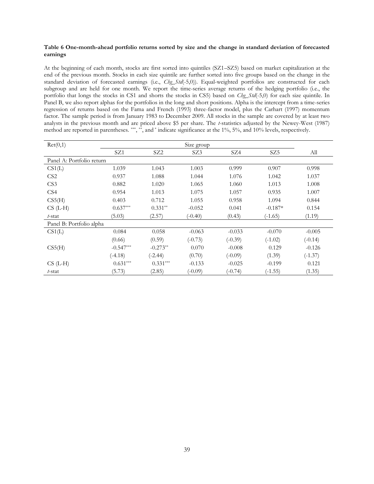#### **Table 6 One-month-ahead portfolio returns sorted by size and the change in standard deviation of forecasted earnings**

At the beginning of each month, stocks are first sorted into quintiles (SZ1–SZ5) based on market capitalization at the end of the previous month. Stocks in each size quintile are further sorted into five groups based on the change in the standard deviation of forecasted earnings (i.e., *Chg\_Std*(-5,0)). Equal-weighted portfolios are constructed for each subgroup and are held for one month. We report the time-series average returns of the hedging portfolio (i.e., the portfolio that longs the stocks in CS1 and shorts the stocks in CS5) based on *Chg\_Std*(-5,0) for each size quintile. In Panel B, we also report alphas for the portfolios in the long and short positions. Alpha is the intercept from a time-series regression of returns based on the Fama and French (1993) three-factor model, plus the Carhart (1997) momentum factor. The sample period is from January 1983 to December 2009. All stocks in the sample are covered by at least two analysts in the previous month and are priced above \$5 per share. The *t*-statistics adjusted by the Newey-West (1987) method are reported in parentheses. \*\*\*, \*\*, and \* indicate significance at the 1%, 5%, and 10% levels, respectively.

| Ret(0,1)                  | Size group  |                 |           |           |           |           |  |  |  |  |  |
|---------------------------|-------------|-----------------|-----------|-----------|-----------|-----------|--|--|--|--|--|
|                           | SZ1         | SZ <sub>2</sub> | SZ3       | SZ4       | SZ5       | All       |  |  |  |  |  |
| Panel A: Portfolio return |             |                 |           |           |           |           |  |  |  |  |  |
| CS1(L)                    | 1.039       | 1.043           | 1.003     | 0.999     | 0.907     | 0.998     |  |  |  |  |  |
| CS <sub>2</sub>           | 0.937       | 1.088           | 1.044     | 1.076     | 1.042     | 1.037     |  |  |  |  |  |
| CS3                       | 0.882       | 1.020           | 1.065     | 1.060     | 1.013     | 1.008     |  |  |  |  |  |
| CS4                       | 0.954       | 1.013           | 1.075     | 1.057     | 0.935     | 1.007     |  |  |  |  |  |
| CS5(H)                    | 0.403       | 0.712           | 1.055     | 0.958     | 1.094     | 0.844     |  |  |  |  |  |
| $CS$ (L-H)                | $0.637***$  | $0.331**$       | $-0.052$  | 0.041     | $-0.187*$ | 0.154     |  |  |  |  |  |
| t-stat                    | (5.03)      | (2.57)          | $(-0.40)$ | (0.43)    | $(-1.65)$ | (1.19)    |  |  |  |  |  |
| Panel B: Portfolio alpha  |             |                 |           |           |           |           |  |  |  |  |  |
| CS1(L)                    | 0.084       | 0.058           | $-0.063$  | $-0.033$  | $-0.070$  | $-0.005$  |  |  |  |  |  |
|                           | (0.66)      | (0.59)          | $(-0.73)$ | $(-0.39)$ | $(-1.02)$ | $(-0.14)$ |  |  |  |  |  |
| CS5(H)                    | $-0.547***$ | $-0.273**$      | 0.070     | $-0.008$  | 0.129     | $-0.126$  |  |  |  |  |  |
|                           | $(-4.18)$   | $(-2.44)$       | (0.70)    | $(-0.09)$ | (1.39)    | $(-1.37)$ |  |  |  |  |  |
| $CS$ (L-H)                | $0.631***$  | $0.331***$      | $-0.133$  | $-0.025$  | $-0.199$  | 0.121     |  |  |  |  |  |
| t-stat                    | (5.73)      | (2.85)          | $(-0.09)$ | $(-0.74)$ | $(-1.55)$ | (1.35)    |  |  |  |  |  |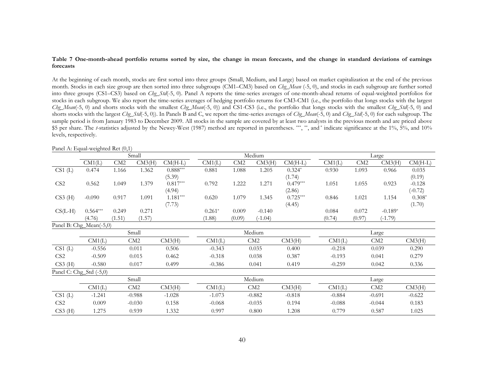#### **Table 7 One-month-ahead portfolio returns sorted by size, the change in mean forecasts, and the change in standard deviations of earnings forecasts**

At the beginning of each month, stocks are first sorted into three groups (Small, Medium, and Large) based on market capitalization at the end of the previous month. Stocks in each size group are then sorted into three subgroups (CM1–CM3) based on *Chg\_Mean* (-5, 0), and stocks in each subgroup are further sorted into three groups (CS1–CS3) based on *Chg\_Std*(-5, 0). Panel A reports the time-series averages of one-month-ahead returns of equal-weighted portfolios for stocks in each subgroup. We also report the time-series averages of hedging portfolio returns for CM3-CM1 (i.e., the portfolio that longs stocks with the largest *Chg\_Mean*(-5, 0) and shorts stocks with the smallest *Chg\_Mean*(-5, 0)) and CS1-CS3 (i.e., the portfolio that longs stocks with the smallest *Chg\_Std*(-5, 0) and shorts stocks with the largest *Chg\_Std*(-5, 0)). In Panels B and C, we report the time-series averages of *Chg\_Mean*(-5, 0) and *Chg\_Std*(-5, 0) for each subgroup. The sample period is from January 1983 to December 2009. All stocks in the sample are covered by at least two analysts in the previous month and are priced above \$5 per share. The *t*-statistics adjusted by the Newey-West (1987) method are reported in parentheses. \*\*\*, \*\*, and \* indicate significance at the 1%, 5%, and 10% levels, respectively.

|                         |                         |        | Small           |            |          |        | Medium    |            | Large    |        |           |           |
|-------------------------|-------------------------|--------|-----------------|------------|----------|--------|-----------|------------|----------|--------|-----------|-----------|
|                         | CM1(L)                  | CM2    | CM3(H)          | $CM(H-L)$  | CM1(L)   | CM2    | CM3(H)    | $CM(H-L)$  | CM1(L)   | CM2    | CM3(H)    | $CM(H-L)$ |
| CS1(L)                  | 0.474                   | 1.166  | 1.362           | $0.888***$ | 0.881    | 1.088  | 1.205     | $0.324*$   | 0.930    | 1.093  | 0.966     | 0.035     |
|                         |                         |        |                 | (5.39)     |          |        |           | (1.74)     |          |        |           | (0.19)    |
| CS <sub>2</sub>         | 0.562                   | 1.049  | 1.379           | $0.817***$ | 0.792    | 1.222  | 1.271     | $0.479***$ | 1.051    | 1.055  | 0.923     | $-0.128$  |
|                         |                         |        |                 | (4.94)     |          |        |           | (2.86)     |          |        |           | $(-0.72)$ |
| $CS3$ (H)               | $-0.090$                | 0.917  | 1.091           | $1.181***$ | 0.620    | 1.079  | 1.345     | $0.725***$ | 0.846    | 1.021  | 1.154     | $0.308*$  |
|                         |                         |        |                 | (7.73)     |          |        |           | (4.45)     |          |        |           | (1.70)    |
| $CS(L-H)$               | $0.564***$              | 0.249  | 0.271           |            | $0.261*$ | 0.009  | $-0.140$  |            | 0.084    | 0.072  | $-0.189*$ |           |
|                         | (4.76)                  | (1.51) | (1.57)          |            | (1.88)   | (0.09) | $(-1.04)$ |            | (0.74)   | (0.97) | $(-1.79)$ |           |
| Panel B: Chg_Mean(-5,0) |                         |        |                 |            |          |        |           |            |          |        |           |           |
|                         |                         |        | Small           |            |          |        | Medium    |            |          |        | Large     |           |
|                         | CM1(L)                  |        | CM <sub>2</sub> | CM3(H)     | CM1(L)   |        | CM2       | CM3(H)     | CM1(L)   |        | CM2       | CM3(H)    |
| $CS1$ (L)               | $-0.556$                |        | 0.011           | 0.506      | $-0.343$ |        | 0.035     | 0.400      | $-0.218$ |        | 0.039     | 0.290     |
| CS <sub>2</sub>         | $-0.509$                |        | 0.015           | 0.462      | $-0.318$ |        | 0.038     | 0.387      | $-0.193$ |        | 0.041     | 0.279     |
| $CS3$ (H)               | $-0.580$                |        | 0.017           | 0.499      | $-0.386$ |        | 0.041     | 0.419      | $-0.259$ |        | 0.042     | 0.336     |
|                         | Panel C: Chg_Std (-5,0) |        |                 |            |          |        |           |            |          |        |           |           |
|                         |                         |        | Small           |            |          |        | Medium    |            |          |        | Large     |           |
|                         | CM1(L)                  |        | CM2             | CM3(H)     | CM1(L)   |        | CM2       | CM3(H)     | CM1(L)   |        | CM2       | CM3(H)    |
| CS1(L)                  | $-1.241$                |        | $-0.988$        | $-1.028$   | $-1.073$ |        | $-0.882$  | $-0.818$   | $-0.884$ |        | $-0.691$  | $-0.622$  |
| CS <sub>2</sub>         | 0.009                   |        | $-0.030$        | 0.158      | $-0.068$ |        | $-0.035$  | 0.194      | $-0.088$ |        | $-0.044$  | 0.183     |
| $CS3$ (H)               | 1.275                   |        | 0.939           | 1.332      | 0.997    |        | 0.800     | 1.208      | 0.779    |        | 0.587     | 1.025     |